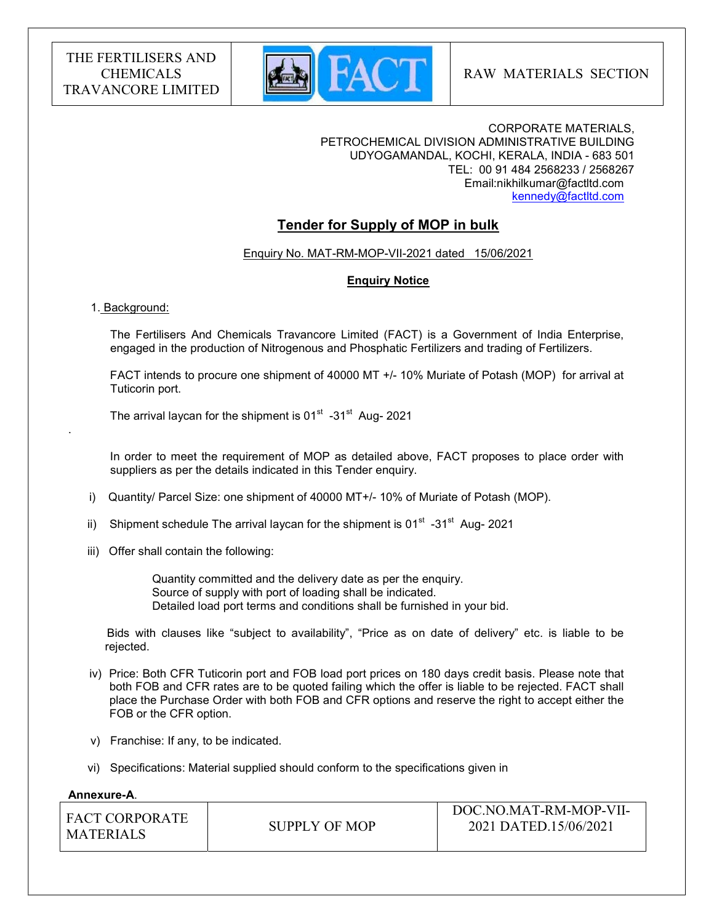

#### CORPORATE MATERIALS, PETROCHEMICAL DIVISION ADMINISTRATIVE BUILDING UDYOGAMANDAL, KOCHI, KERALA, INDIA - 683 501 TEL: 00 91 484 2568233 / 2568267 Email:nikhilkumar@factltd.com kennedy@factltd.com

## Tender for Supply of MOP in bulk

Enquiry No. MAT-RM-MOP-VII-2021 dated 15/06/2021

## Enquiry Notice

#### 1. Background:

.

 The Fertilisers And Chemicals Travancore Limited (FACT) is a Government of India Enterprise, engaged in the production of Nitrogenous and Phosphatic Fertilizers and trading of Fertilizers.

 FACT intends to procure one shipment of 40000 MT +/- 10% Muriate of Potash (MOP) for arrival at Tuticorin port.

The arrival laycan for the shipment is  $01<sup>st</sup>$  -31<sup>st</sup> Aug- 2021

 In order to meet the requirement of MOP as detailed above, FACT proposes to place order with suppliers as per the details indicated in this Tender enquiry.

- i) Quantity/ Parcel Size: one shipment of 40000 MT+/- 10% of Muriate of Potash (MOP).
- ii) Shipment schedule The arrival laycan for the shipment is  $01<sup>st</sup> -31<sup>st</sup>$  Aug- 2021
- iii) Offer shall contain the following:

 Quantity committed and the delivery date as per the enquiry. Source of supply with port of loading shall be indicated. Detailed load port terms and conditions shall be furnished in your bid.

 Bids with clauses like "subject to availability", "Price as on date of delivery" etc. is liable to be rejected.

- iv) Price: Both CFR Tuticorin port and FOB load port prices on 180 days credit basis. Please note that both FOB and CFR rates are to be quoted failing which the offer is liable to be rejected. FACT shall place the Purchase Order with both FOB and CFR options and reserve the right to accept either the FOB or the CFR option.
- v) Franchise: If any, to be indicated.
- vi) Specifications: Material supplied should conform to the specifications given in

#### Annexure-A.

| <b>FACT CORPORATE</b><br><b>MATERIALS</b> | SUPPLY OF MOP | DOC.NO.MAT-RM-MOP-VII-<br>2021 DATED.15/06/2021 |
|-------------------------------------------|---------------|-------------------------------------------------|
|                                           |               |                                                 |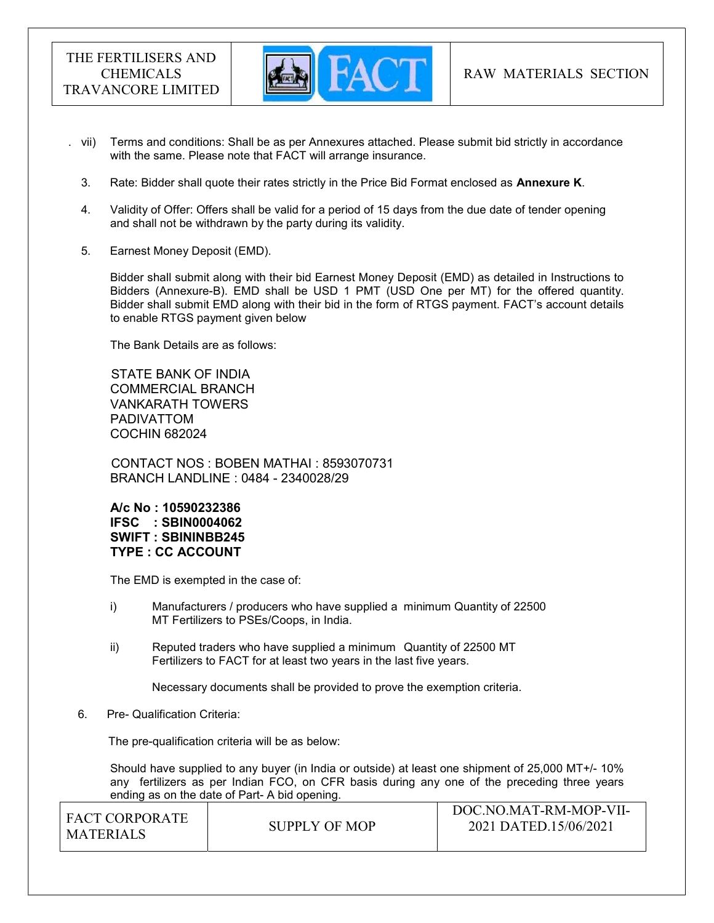

- . vii) Terms and conditions: Shall be as per Annexures attached. Please submit bid strictly in accordance with the same. Please note that FACT will arrange insurance.
	- 3. Rate: Bidder shall quote their rates strictly in the Price Bid Format enclosed as Annexure K.
	- 4. Validity of Offer: Offers shall be valid for a period of 15 days from the due date of tender opening and shall not be withdrawn by the party during its validity.
	- 5. Earnest Money Deposit (EMD).

Bidder shall submit along with their bid Earnest Money Deposit (EMD) as detailed in Instructions to Bidders (Annexure-B). EMD shall be USD 1 PMT (USD One per MT) for the offered quantity. Bidder shall submit EMD along with their bid in the form of RTGS payment. FACT's account details to enable RTGS payment given below

The Bank Details are as follows:

 STATE BANK OF INDIA COMMERCIAL BRANCH VANKARATH TOWERS PADIVATTOM COCHIN 682024

 CONTACT NOS : BOBEN MATHAI : 8593070731 BRANCH LANDLINE : 0484 - 2340028/29

A/c No : 10590232386 IFSC : SBIN0004062 SWIFT : SBININBB245 TYPE : CC ACCOUNT

The EMD is exempted in the case of:

- i) Manufacturers / producers who have supplied a minimum Quantity of 22500 MT Fertilizers to PSEs/Coops, in India.
- ii) Reputed traders who have supplied a minimum Quantity of 22500 MT Fertilizers to FACT for at least two years in the last five years.

Necessary documents shall be provided to prove the exemption criteria.

6. Pre- Qualification Criteria:

The pre-qualification criteria will be as below:

Should have supplied to any buyer (in India or outside) at least one shipment of 25,000 MT+/- 10% any fertilizers as per Indian FCO, on CFR basis during any one of the preceding three years ending as on the date of Part- A bid opening.

| I FACT CORPORATE |               | DOC.NO.MAT-RM-MOP-VII- |
|------------------|---------------|------------------------|
| I MATERIALS      | SUPPLY OF MOP | 2021 DATED.15/06/2021  |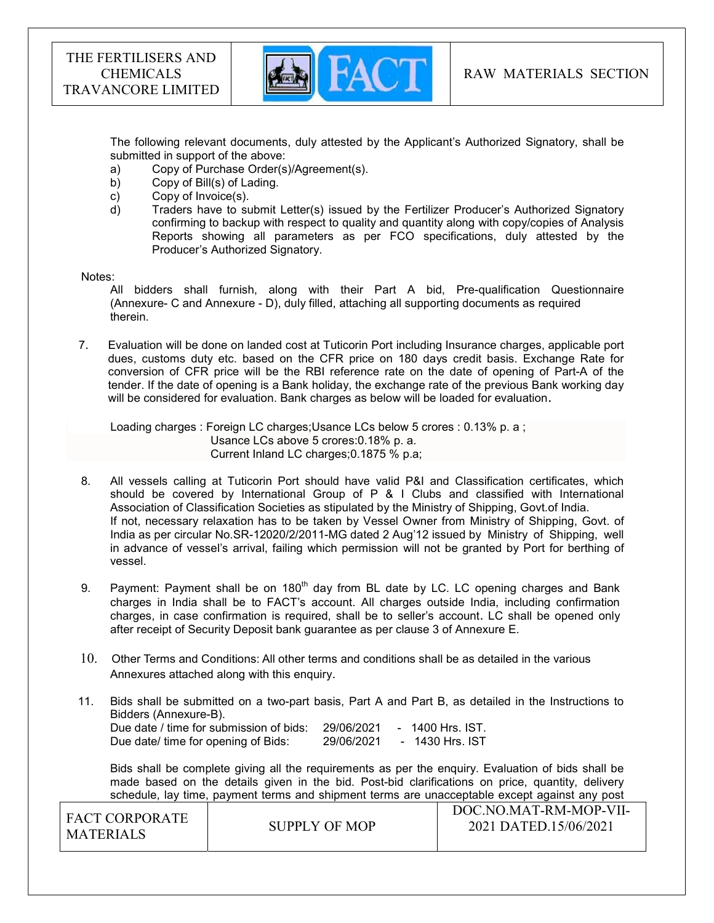

The following relevant documents, duly attested by the Applicant's Authorized Signatory, shall be submitted in support of the above:

- a) Copy of Purchase Order(s)/Agreement(s).
- b) Copy of Bill(s) of Lading.
- c) Copy of Invoice(s).
- d) Traders have to submit Letter(s) issued by the Fertilizer Producer's Authorized Signatory confirming to backup with respect to quality and quantity along with copy/copies of Analysis Reports showing all parameters as per FCO specifications, duly attested by the Producer's Authorized Signatory.

#### Notes:

 All bidders shall furnish, along with their Part A bid, Pre-qualification Questionnaire (Annexure- C and Annexure - D), duly filled, attaching all supporting documents as required therein.

7. Evaluation will be done on landed cost at Tuticorin Port including Insurance charges, applicable port dues, customs duty etc. based on the CFR price on 180 days credit basis. Exchange Rate for conversion of CFR price will be the RBI reference rate on the date of opening of Part-A of the tender. If the date of opening is a Bank holiday, the exchange rate of the previous Bank working day will be considered for evaluation. Bank charges as below will be loaded for evaluation.

 Loading charges : Foreign LC charges;Usance LCs below 5 crores : 0.13% p. a ; Usance LCs above 5 crores:0.18% p. a. Current Inland LC charges;0.1875 % p.a;

- 8. All vessels calling at Tuticorin Port should have valid P&I and Classification certificates, which should be covered by International Group of P & I Clubs and classified with International Association of Classification Societies as stipulated by the Ministry of Shipping, Govt.of India. If not, necessary relaxation has to be taken by Vessel Owner from Ministry of Shipping, Govt. of India as per circular No.SR-12020/2/2011-MG dated 2 Aug'12 issued by Ministry of Shipping, well in advance of vessel's arrival, failing which permission will not be granted by Port for berthing of vessel.
- 9. Payment: Payment shall be on 180<sup>th</sup> day from BL date by LC. LC opening charges and Bank charges in India shall be to FACT's account. All charges outside India, including confirmation charges, in case confirmation is required, shall be to seller's account. LC shall be opened only after receipt of Security Deposit bank guarantee as per clause 3 of Annexure E.
- 10. Other Terms and Conditions: All other terms and conditions shall be as detailed in the various Annexures attached along with this enquiry.
- 11. Bids shall be submitted on a two-part basis, Part A and Part B, as detailed in the Instructions to Bidders (Annexure-B). Due date / time for submission of bids: 29/06/2021 - 1400 Hrs. IST.

| Due date / time for submission of bids: | 29/06/2021 | - 1400 Hrs. IST. |
|-----------------------------------------|------------|------------------|
| Due date/ time for opening of Bids:     | 29/06/2021 | - 1430 Hrs. IST  |

 Bids shall be complete giving all the requirements as per the enquiry. Evaluation of bids shall be made based on the details given in the bid. Post-bid clarifications on price, quantity, delivery schedule, lay time, payment terms and shipment terms are unacceptable except against any post

| I FACT CORPORATE |               | DOC.NO.MAT-RM-MOP-VII- |
|------------------|---------------|------------------------|
| l MATERIALS      | SUPPLY OF MOP | 2021 DATED.15/06/2021  |
|                  |               |                        |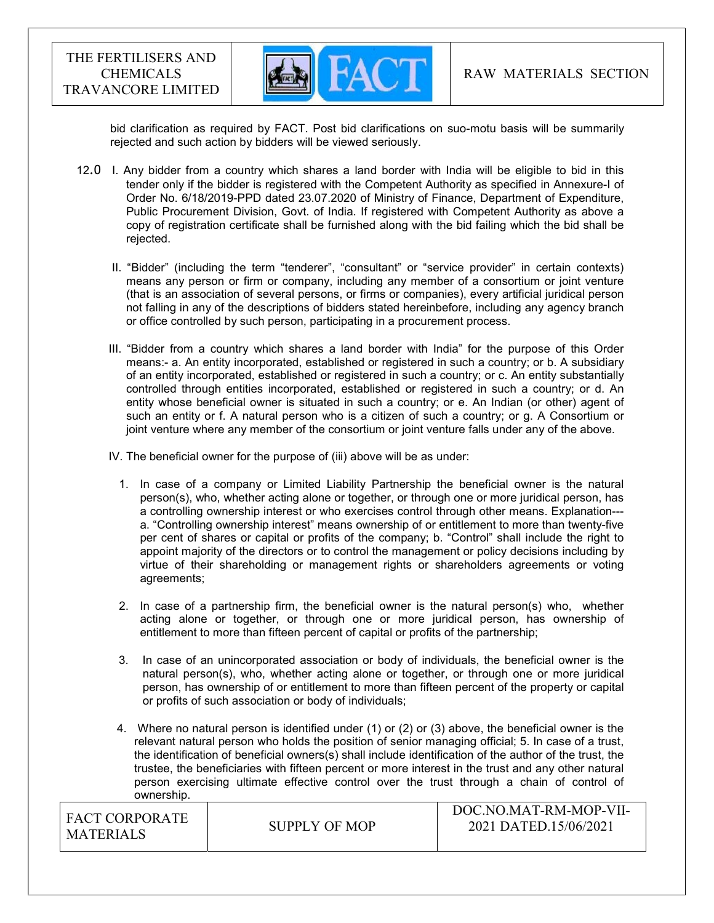

bid clarification as required by FACT. Post bid clarifications on suo-motu basis will be summarily rejected and such action by bidders will be viewed seriously.

- 12.0 I. Any bidder from a country which shares a land border with India will be eligible to bid in this tender only if the bidder is registered with the Competent Authority as specified in Annexure-I of Order No. 6/18/2019-PPD dated 23.07.2020 of Ministry of Finance, Department of Expenditure, Public Procurement Division, Govt. of India. If registered with Competent Authority as above a copy of registration certificate shall be furnished along with the bid failing which the bid shall be rejected.
	- II. "Bidder" (including the term "tenderer", "consultant" or "service provider" in certain contexts) means any person or firm or company, including any member of a consortium or joint venture (that is an association of several persons, or firms or companies), every artificial juridical person not falling in any of the descriptions of bidders stated hereinbefore, including any agency branch or office controlled by such person, participating in a procurement process.
	- III. "Bidder from a country which shares a land border with India" for the purpose of this Order means:- a. An entity incorporated, established or registered in such a country; or b. A subsidiary of an entity incorporated, established or registered in such a country; or c. An entity substantially controlled through entities incorporated, established or registered in such a country; or d. An entity whose beneficial owner is situated in such a country; or e. An Indian (or other) agent of such an entity or f. A natural person who is a citizen of such a country; or g. A Consortium or joint venture where any member of the consortium or joint venture falls under any of the above.

IV. The beneficial owner for the purpose of (iii) above will be as under:

- 1. In case of a company or Limited Liability Partnership the beneficial owner is the natural person(s), who, whether acting alone or together, or through one or more juridical person, has a controlling ownership interest or who exercises control through other means. Explanation-- a. "Controlling ownership interest" means ownership of or entitlement to more than twenty-five per cent of shares or capital or profits of the company; b. "Control" shall include the right to appoint majority of the directors or to control the management or policy decisions including by virtue of their shareholding or management rights or shareholders agreements or voting agreements;
- 2. In case of a partnership firm, the beneficial owner is the natural person(s) who, whether acting alone or together, or through one or more juridical person, has ownership of entitlement to more than fifteen percent of capital or profits of the partnership;
- 3. In case of an unincorporated association or body of individuals, the beneficial owner is the natural person(s), who, whether acting alone or together, or through one or more juridical person, has ownership of or entitlement to more than fifteen percent of the property or capital or profits of such association or body of individuals;
- $DQQ1IQ1I$  4. Where no natural person is identified under (1) or (2) or (3) above, the beneficial owner is the relevant natural person who holds the position of senior managing official; 5. In case of a trust, the identification of beneficial owners(s) shall include identification of the author of the trust, the trustee, the beneficiaries with fifteen percent or more interest in the trust and any other natural person exercising ultimate effective control over the trust through a chain of control of ownership.

| <b>FACT CORPORATE</b> |               | $100C$ . NO.MAT-RM-MOP-VII- |
|-----------------------|---------------|-----------------------------|
|                       | SUPPLY OF MOP | 2021 DATED.15/06/2021       |
| MATERIALS             |               |                             |
|                       |               |                             |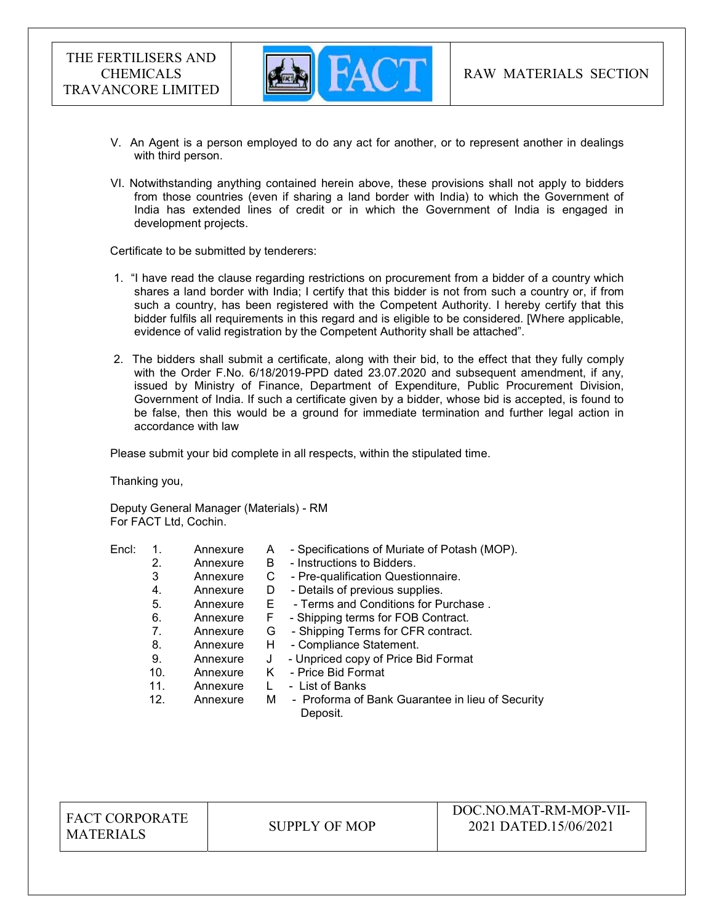

- V. An Agent is a person employed to do any act for another, or to represent another in dealings with third person.
- VI. Notwithstanding anything contained herein above, these provisions shall not apply to bidders from those countries (even if sharing a land border with India) to which the Government of India has extended lines of credit or in which the Government of India is engaged in development projects.

Certificate to be submitted by tenderers:

- 1. "I have read the clause regarding restrictions on procurement from a bidder of a country which shares a land border with India; I certify that this bidder is not from such a country or, if from such a country, has been registered with the Competent Authority. I hereby certify that this bidder fulfils all requirements in this regard and is eligible to be considered. [Where applicable, evidence of valid registration by the Competent Authority shall be attached".
- 2. The bidders shall submit a certificate, along with their bid, to the effect that they fully comply with the Order F.No. 6/18/2019-PPD dated 23.07.2020 and subsequent amendment, if any, issued by Ministry of Finance, Department of Expenditure, Public Procurement Division, Government of India. If such a certificate given by a bidder, whose bid is accepted, is found to be false, then this would be a ground for immediate termination and further legal action in accordance with law

Please submit your bid complete in all respects, within the stipulated time.

Thanking you,

Deputy General Manager (Materials) - RM For FACT Ltd, Cochin.

| Encl: |     | Annexure | A  | - Specifications of Muriate of Potash (MOP).                 |
|-------|-----|----------|----|--------------------------------------------------------------|
|       | 2.  | Annexure | B  | - Instructions to Bidders.                                   |
|       | 3   | Annexure | С  | - Pre-qualification Questionnaire.                           |
|       | 4.  | Annexure | D  | - Details of previous supplies.                              |
|       | 5.  | Annexure | E. | - Terms and Conditions for Purchase.                         |
|       | 6.  | Annexure | F  | - Shipping terms for FOB Contract.                           |
|       | 7.  | Annexure | G  | - Shipping Terms for CFR contract.                           |
|       | 8.  | Annexure | H. | - Compliance Statement.                                      |
|       | 9.  | Annexure | J  | - Unpriced copy of Price Bid Format                          |
|       | 10. | Annexure | K. | - Price Bid Format                                           |
|       | 11. | Annexure |    | - List of Banks                                              |
|       | 12. | Annexure | M  | - Proforma of Bank Guarantee in lieu of Security<br>Deposit. |

FACT CORPORATE MATERIALS SUPPLY OF MOP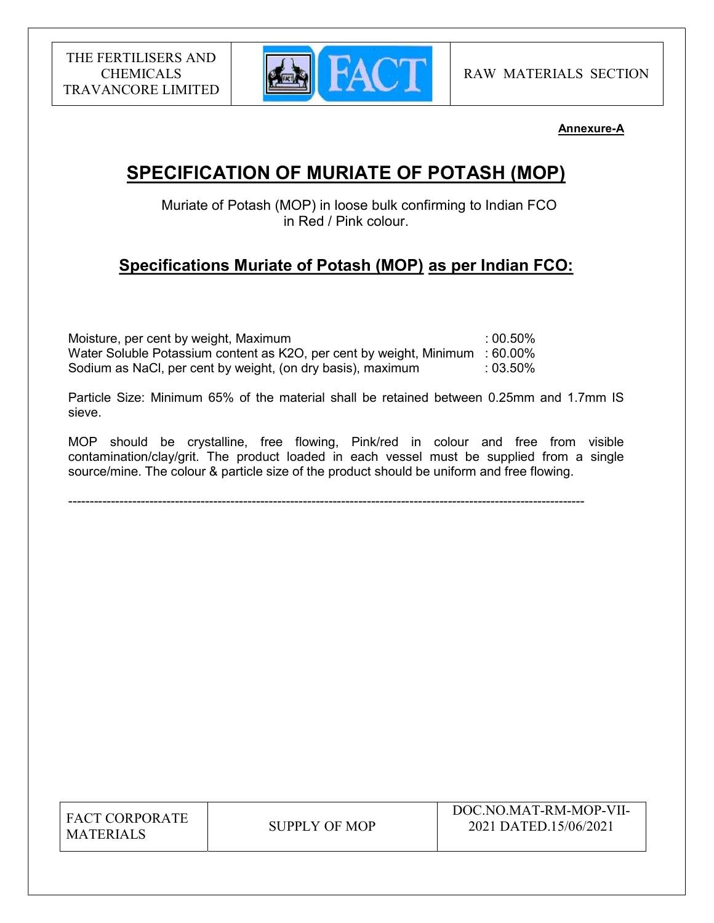

## Annexure-A

# SPECIFICATION OF MURIATE OF POTASH (MOP)

 Muriate of Potash (MOP) in loose bulk confirming to Indian FCO in Red / Pink colour.

# Specifications Muriate of Potash (MOP) as per Indian FCO:

Moisture, per cent by weight, Maximum **interest and the COS** control of the control of the control of the control of the control of the control of the control of the control of the control of the control of the control of Water Soluble Potassium content as K2O, per cent by weight, Minimum : 60.00% Sodium as NaCl, per cent by weight, (on dry basis), maximum : 03.50%

Particle Size: Minimum 65% of the material shall be retained between 0.25mm and 1.7mm IS sieve.

MOP should be crystalline, free flowing, Pink/red in colour and free from visible contamination/clay/grit. The product loaded in each vessel must be supplied from a single source/mine. The colour & particle size of the product should be uniform and free flowing.

-------------------------------------------------------------------------------------------------------------------------

| <b>FACT CORPORATE</b> |
|-----------------------|
| <b>MATERIALS</b>      |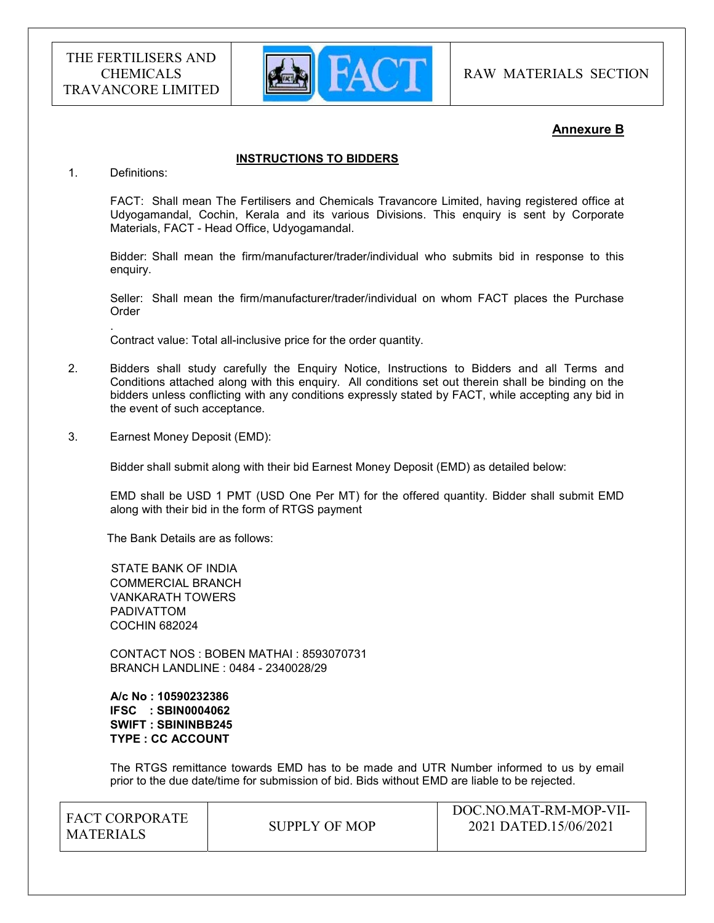

RAW MATERIALS SECTION

## Annexure B

#### INSTRUCTIONS TO BIDDERS

1. Definitions:

.

FACT: Shall mean The Fertilisers and Chemicals Travancore Limited, having registered office at Udyogamandal, Cochin, Kerala and its various Divisions. This enquiry is sent by Corporate Materials, FACT - Head Office, Udyogamandal.

Bidder: Shall mean the firm/manufacturer/trader/individual who submits bid in response to this enquiry.

Seller: Shall mean the firm/manufacturer/trader/individual on whom FACT places the Purchase Order

Contract value: Total all-inclusive price for the order quantity.

- 2. Bidders shall study carefully the Enquiry Notice, Instructions to Bidders and all Terms and Conditions attached along with this enquiry. All conditions set out therein shall be binding on the bidders unless conflicting with any conditions expressly stated by FACT, while accepting any bid in the event of such acceptance.
- 3. Earnest Money Deposit (EMD):

Bidder shall submit along with their bid Earnest Money Deposit (EMD) as detailed below:

EMD shall be USD 1 PMT (USD One Per MT) for the offered quantity. Bidder shall submit EMD along with their bid in the form of RTGS payment

The Bank Details are as follows:

 STATE BANK OF INDIA COMMERCIAL BRANCH VANKARATH TOWERS PADIVATTOM COCHIN 682024

 CONTACT NOS : BOBEN MATHAI : 8593070731 BRANCH LANDLINE : 0484 - 2340028/29

 A/c No : 10590232386 IFSC : SBIN0004062 SWIFT : SBININBB245 TYPE : CC ACCOUNT

The RTGS remittance towards EMD has to be made and UTR Number informed to us by email prior to the due date/time for submission of bid. Bids without EMD are liable to be rejected.

| I FACT CORPORATE |               | DOC.NO.MAT-RM-MOP-VII- |
|------------------|---------------|------------------------|
| MATERIALS        | SUPPLY OF MOP | 2021 DATED.15/06/2021  |
|                  |               |                        |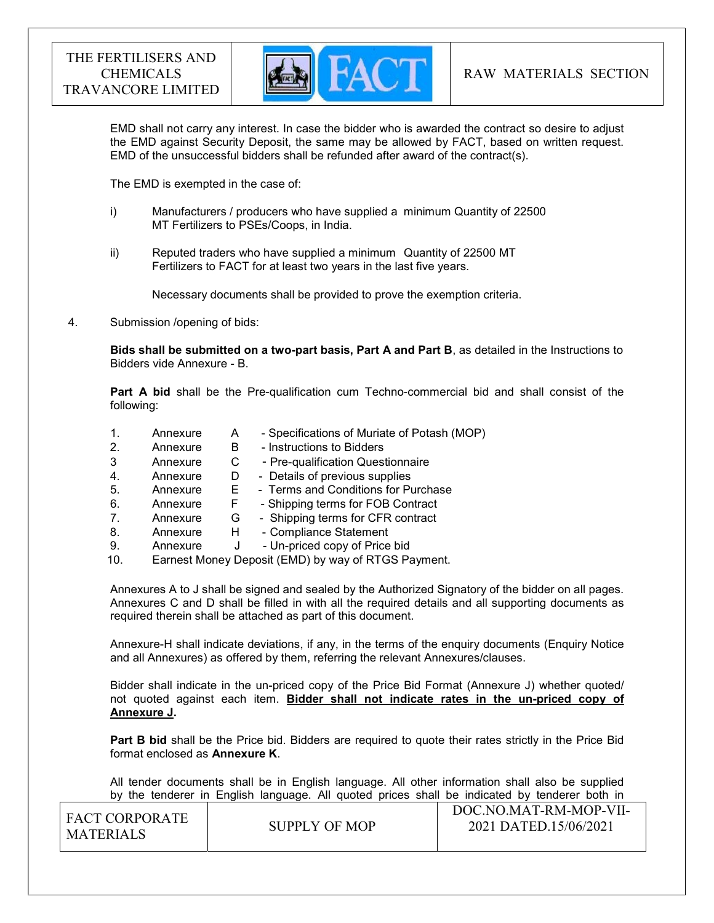

EMD shall not carry any interest. In case the bidder who is awarded the contract so desire to adjust the EMD against Security Deposit, the same may be allowed by FACT, based on written request. EMD of the unsuccessful bidders shall be refunded after award of the contract(s).

The EMD is exempted in the case of:

- i) Manufacturers / producers who have supplied a minimum Quantity of 22500 MT Fertilizers to PSEs/Coops, in India.
- ii) Reputed traders who have supplied a minimum Quantity of 22500 MT Fertilizers to FACT for at least two years in the last five years.

Necessary documents shall be provided to prove the exemption criteria.

4. Submission /opening of bids:

Bids shall be submitted on a two-part basis, Part A and Part B, as detailed in the Instructions to Bidders vide Annexure - B.

Part A bid shall be the Pre-qualification cum Techno-commercial bid and shall consist of the following:

- 1. Annexure A Specifications of Muriate of Potash (MOP) 2. Annexure B - Instructions to Bidders
- 3 Annexure C Pre-qualification Questionnaire
- 4. Annexure D Details of previous supplies
- 5. Annexure E Terms and Conditions for Purchase
- 6. Annexure F Shipping terms for FOB Contract
- 7. Annexure G Shipping terms for CFR contract
- 8. Annexure H Compliance Statement
- 9. Annexure J Un-priced copy of Price bid
- 10. Earnest Money Deposit (EMD) by way of RTGS Payment.

Annexures A to J shall be signed and sealed by the Authorized Signatory of the bidder on all pages. Annexures C and D shall be filled in with all the required details and all supporting documents as required therein shall be attached as part of this document.

Annexure-H shall indicate deviations, if any, in the terms of the enquiry documents (Enquiry Notice and all Annexures) as offered by them, referring the relevant Annexures/clauses.

Bidder shall indicate in the un-priced copy of the Price Bid Format (Annexure J) whether quoted/ not quoted against each item. Bidder shall not indicate rates in the un-priced copy of Annexure J.

**Part B bid** shall be the Price bid. Bidders are required to quote their rates strictly in the Price Bid format enclosed as Annexure K.

 All tender documents shall be in English language. All other information shall also be supplied by the tenderer in English language. All quoted prices shall be indicated by tenderer both in

| I FACT CORPORATE<br>MATERIALS | SUPPLY OF MOP | DOC.NO.MAT-RM-MOP-VII-<br>2021 DATED.15/06/2021 |
|-------------------------------|---------------|-------------------------------------------------|
|                               |               |                                                 |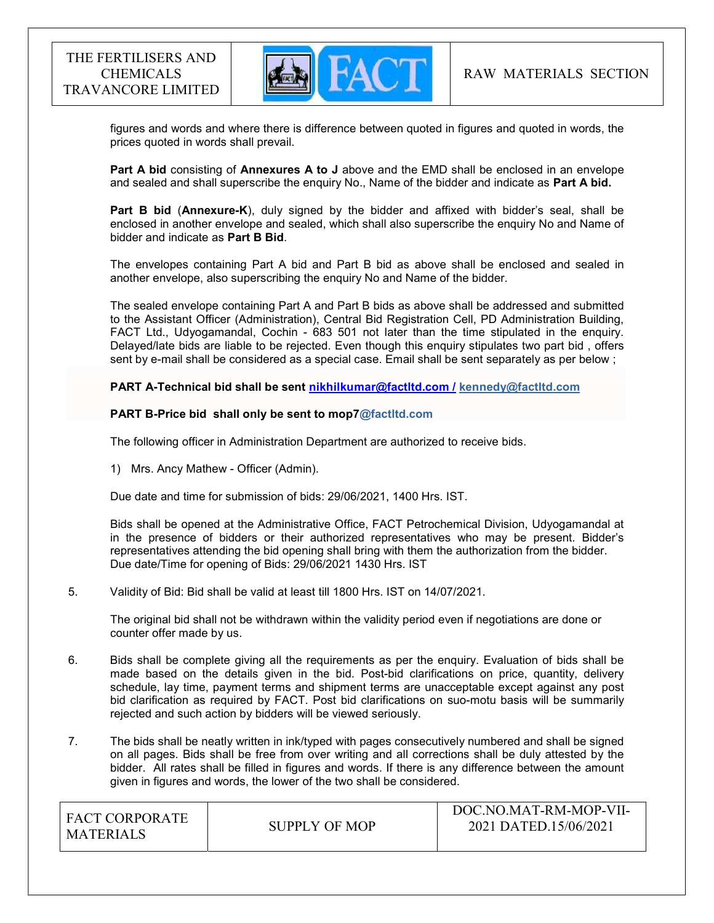

 figures and words and where there is difference between quoted in figures and quoted in words, the prices quoted in words shall prevail.

Part A bid consisting of Annexures A to J above and the EMD shall be enclosed in an envelope and sealed and shall superscribe the enquiry No., Name of the bidder and indicate as Part A bid.

Part B bid (Annexure-K), duly signed by the bidder and affixed with bidder's seal, shall be enclosed in another envelope and sealed, which shall also superscribe the enquiry No and Name of bidder and indicate as Part B Bid.

The envelopes containing Part A bid and Part B bid as above shall be enclosed and sealed in another envelope, also superscribing the enquiry No and Name of the bidder.

The sealed envelope containing Part A and Part B bids as above shall be addressed and submitted to the Assistant Officer (Administration), Central Bid Registration Cell, PD Administration Building, FACT Ltd., Udyogamandal, Cochin - 683 501 not later than the time stipulated in the enquiry. Delayed/late bids are liable to be rejected. Even though this enquiry stipulates two part bid , offers sent by e-mail shall be considered as a special case. Email shall be sent separately as per below ;

PART A-Technical bid shall be sent nikhilkumar@factltd.com / kennedy@factltd.com

#### PART B-Price bid shall only be sent to mop7@factltd.com

The following officer in Administration Department are authorized to receive bids.

1) Mrs. Ancy Mathew - Officer (Admin).

Due date and time for submission of bids: 29/06/2021, 1400 Hrs. IST.

Bids shall be opened at the Administrative Office, FACT Petrochemical Division, Udyogamandal at in the presence of bidders or their authorized representatives who may be present. Bidder's representatives attending the bid opening shall bring with them the authorization from the bidder. Due date/Time for opening of Bids: 29/06/2021 1430 Hrs. IST

#### 5. Validity of Bid: Bid shall be valid at least till 1800 Hrs. IST on 14/07/2021.

The original bid shall not be withdrawn within the validity period even if negotiations are done or counter offer made by us.

- 6. Bids shall be complete giving all the requirements as per the enquiry. Evaluation of bids shall be made based on the details given in the bid. Post-bid clarifications on price, quantity, delivery schedule, lay time, payment terms and shipment terms are unacceptable except against any post bid clarification as required by FACT. Post bid clarifications on suo-motu basis will be summarily rejected and such action by bidders will be viewed seriously.
- 7. The bids shall be neatly written in ink/typed with pages consecutively numbered and shall be signed on all pages. Bids shall be free from over writing and all corrections shall be duly attested by the bidder. All rates shall be filled in figures and words. If there is any difference between the amount given in figures and words, the lower of the two shall be considered.

| <b>FACT CORPORATE</b><br>MATERIALS | SUPPLY OF MOP | DOC.NO.MAT-RM-MOP-VII-<br>2021 DATED.15/06/2021 |
|------------------------------------|---------------|-------------------------------------------------|
|------------------------------------|---------------|-------------------------------------------------|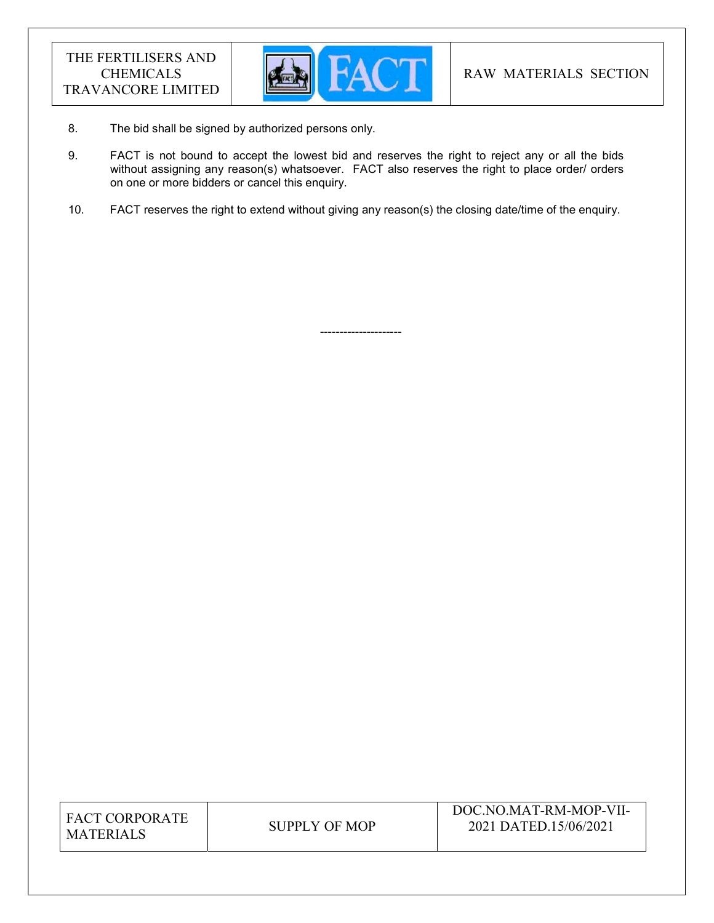

8. The bid shall be signed by authorized persons only.

---------------------

- 9. FACT is not bound to accept the lowest bid and reserves the right to reject any or all the bids without assigning any reason(s) whatsoever. FACT also reserves the right to place order/ orders on one or more bidders or cancel this enquiry.
- 10. FACT reserves the right to extend without giving any reason(s) the closing date/time of the enquiry.

| <b>FACT CORPORATE</b> |
|-----------------------|
| <b>MATERIALS</b>      |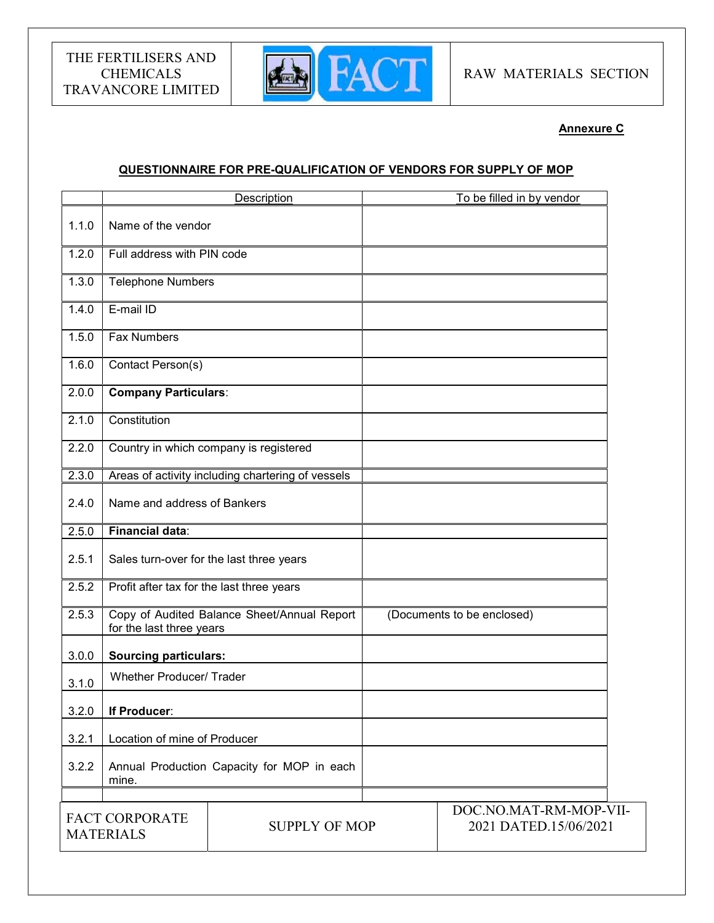

## Annexure C

## QUESTIONNAIRE FOR PRE-QUALIFICATION OF VENDORS FOR SUPPLY OF MOP

|       |                                                                   | Description                                       |  | To be filled in by vendor                       |
|-------|-------------------------------------------------------------------|---------------------------------------------------|--|-------------------------------------------------|
| 1.1.0 | Name of the vendor                                                |                                                   |  |                                                 |
| 1.2.0 | Full address with PIN code                                        |                                                   |  |                                                 |
| 1.3.0 | <b>Telephone Numbers</b>                                          |                                                   |  |                                                 |
| 1.4.0 | E-mail ID                                                         |                                                   |  |                                                 |
| 1.5.0 | <b>Fax Numbers</b>                                                |                                                   |  |                                                 |
| 1.6.0 | Contact Person(s)                                                 |                                                   |  |                                                 |
| 2.0.0 | <b>Company Particulars:</b>                                       |                                                   |  |                                                 |
| 2.1.0 | Constitution                                                      |                                                   |  |                                                 |
| 2.2.0 |                                                                   | Country in which company is registered            |  |                                                 |
| 2.3.0 |                                                                   | Areas of activity including chartering of vessels |  |                                                 |
| 2.4.0 | Name and address of Bankers                                       |                                                   |  |                                                 |
| 2.5.0 | <b>Financial data:</b>                                            |                                                   |  |                                                 |
| 2.5.1 | Sales turn-over for the last three years                          |                                                   |  |                                                 |
| 2.5.2 | Profit after tax for the last three years                         |                                                   |  |                                                 |
| 2.5.3 | for the last three years                                          | Copy of Audited Balance Sheet/Annual Report       |  | (Documents to be enclosed)                      |
| 3.0.0 | <b>Sourcing particulars:</b>                                      |                                                   |  |                                                 |
| 3.1.0 | <b>Whether Producer/ Trader</b>                                   |                                                   |  |                                                 |
| 3.2.0 | If Producer:                                                      |                                                   |  |                                                 |
| 3.2.1 | Location of mine of Producer                                      |                                                   |  |                                                 |
| 3.2.2 | mine.                                                             | Annual Production Capacity for MOP in each        |  |                                                 |
|       | <b>FACT CORPORATE</b><br><b>SUPPLY OF MOP</b><br><b>MATERIALS</b> |                                                   |  | DOC.NO.MAT-RM-MOP-VII-<br>2021 DATED.15/06/2021 |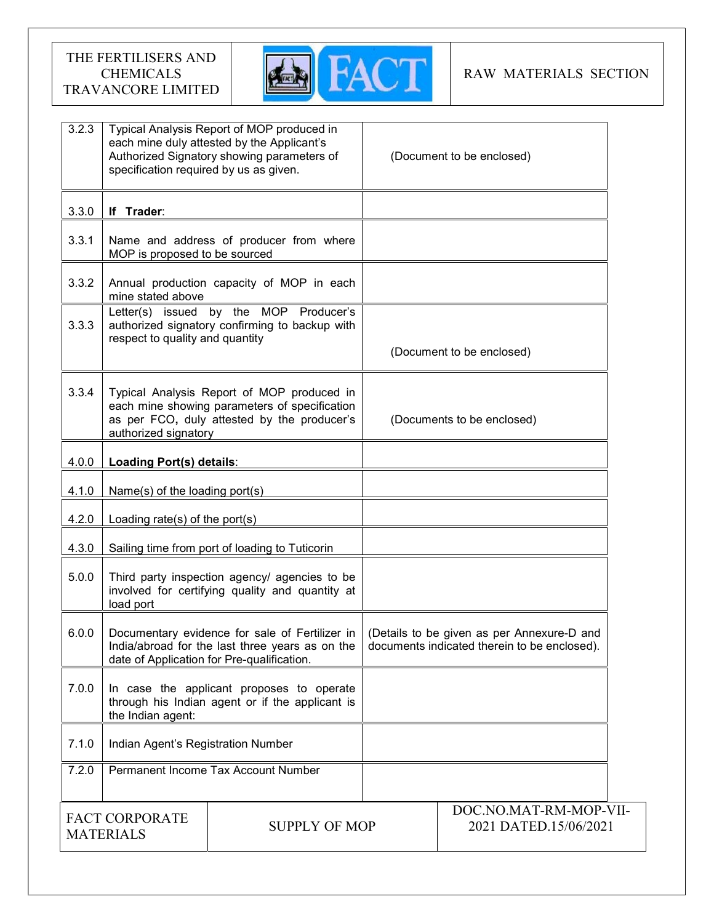

## RAW MATERIALS SECTION

| 3.2.3                                                             | specification required by us as given. | Typical Analysis Report of MOP produced in<br>each mine duly attested by the Applicant's<br>Authorized Signatory showing parameters of          |  | (Document to be enclosed)                                                                  |
|-------------------------------------------------------------------|----------------------------------------|-------------------------------------------------------------------------------------------------------------------------------------------------|--|--------------------------------------------------------------------------------------------|
| 3.3.0                                                             | If Trader:                             |                                                                                                                                                 |  |                                                                                            |
| 3.3.1                                                             | MOP is proposed to be sourced          | Name and address of producer from where                                                                                                         |  |                                                                                            |
| 3.3.2                                                             | mine stated above                      | Annual production capacity of MOP in each                                                                                                       |  |                                                                                            |
| 3.3.3                                                             | respect to quality and quantity        | Letter(s) issued by the MOP Producer's<br>authorized signatory confirming to backup with                                                        |  | (Document to be enclosed)                                                                  |
| 3.3.4                                                             | authorized signatory                   | Typical Analysis Report of MOP produced in<br>each mine showing parameters of specification<br>as per FCO, duly attested by the producer's      |  | (Documents to be enclosed)                                                                 |
| 4.0.0                                                             | Loading Port(s) details:               |                                                                                                                                                 |  |                                                                                            |
| 4.1.0                                                             | Name(s) of the loading port(s)         |                                                                                                                                                 |  |                                                                                            |
| 4.2.0                                                             | Loading rate(s) of the port(s)         |                                                                                                                                                 |  |                                                                                            |
| 4.3.0                                                             |                                        | Sailing time from port of loading to Tuticorin                                                                                                  |  |                                                                                            |
| 5.0.0                                                             | load port                              | Third party inspection agency/ agencies to be<br>involved for certifying quality and quantity at                                                |  |                                                                                            |
| 6.0.0                                                             |                                        | Documentary evidence for sale of Fertilizer in<br>India/abroad for the last three years as on the<br>date of Application for Pre-qualification. |  | (Details to be given as per Annexure-D and<br>documents indicated therein to be enclosed). |
| 7.0.0                                                             | the Indian agent:                      | In case the applicant proposes to operate<br>through his Indian agent or if the applicant is                                                    |  |                                                                                            |
| 7.1.0                                                             | Indian Agent's Registration Number     |                                                                                                                                                 |  |                                                                                            |
| 7.2.0                                                             | Permanent Income Tax Account Number    |                                                                                                                                                 |  |                                                                                            |
| <b>FACT CORPORATE</b><br><b>SUPPLY OF MOP</b><br><b>MATERIALS</b> |                                        |                                                                                                                                                 |  | DOC.NO.MAT-RM-MOP-VII-<br>2021 DATED.15/06/2021                                            |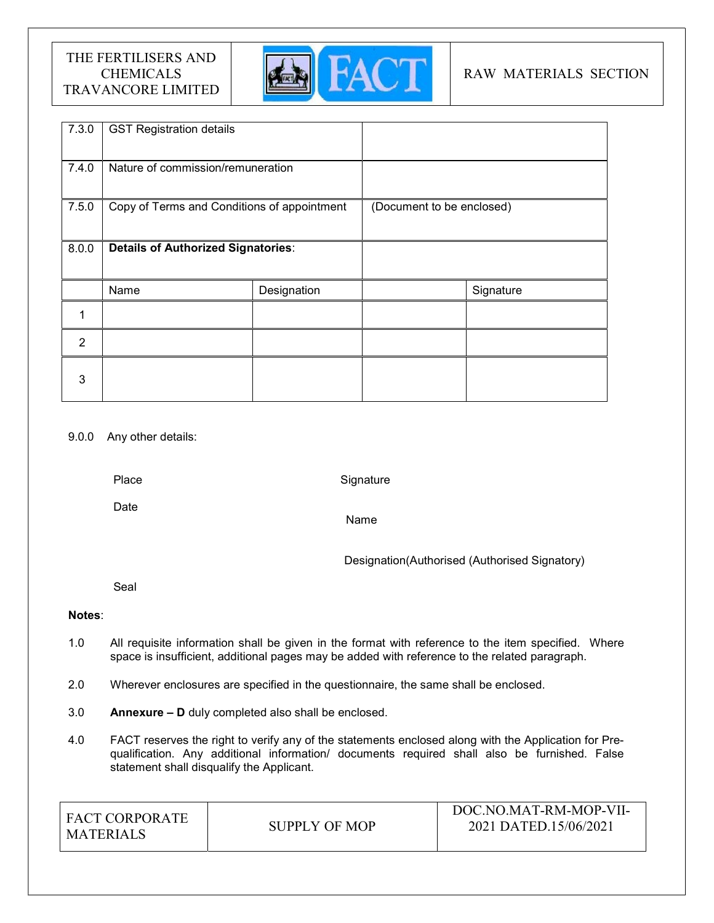

## RAW MATERIALS SECTION

| 7.3.0          | <b>GST Registration details</b>             |             |                           |           |
|----------------|---------------------------------------------|-------------|---------------------------|-----------|
| 7.4.0          | Nature of commission/remuneration           |             |                           |           |
| 7.5.0          | Copy of Terms and Conditions of appointment |             | (Document to be enclosed) |           |
| 8.0.0          | <b>Details of Authorized Signatories:</b>   |             |                           |           |
|                | Name                                        | Designation |                           | Signature |
| 1              |                                             |             |                           |           |
| $\overline{2}$ |                                             |             |                           |           |
| 3              |                                             |             |                           |           |

## 9.0.0 Any other details:

Place

**Signature** 

Date

Name

Designation(Authorised (Authorised Signatory)

Seal

## Notes:

- 1.0 All requisite information shall be given in the format with reference to the item specified. Where space is insufficient, additional pages may be added with reference to the related paragraph.
- 2.0 Wherever enclosures are specified in the questionnaire, the same shall be enclosed.
- 3.0 Annexure D duly completed also shall be enclosed.
- 4.0 FACT reserves the right to verify any of the statements enclosed along with the Application for Prequalification. Any additional information/ documents required shall also be furnished. False statement shall disqualify the Applicant.

| I FACT CORPORATE<br>MATERIALS | SUPPLY OF MOP | DOC.NO.MAT-RM-MOP-VII-<br>2021 DATED.15/06/2021 |
|-------------------------------|---------------|-------------------------------------------------|
|-------------------------------|---------------|-------------------------------------------------|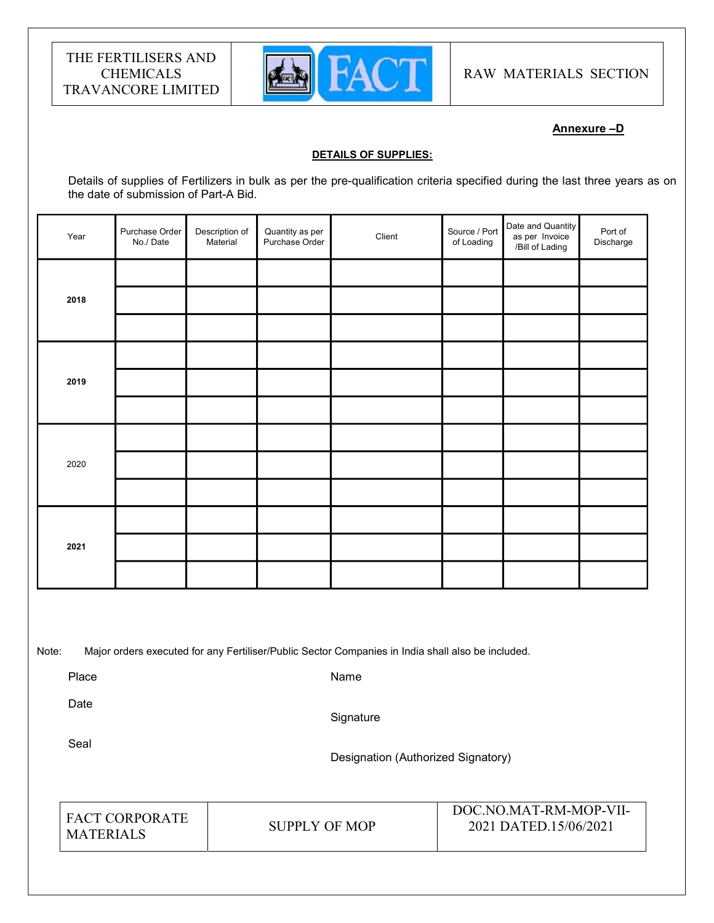

RAW MATERIALS SECTION

## Annexure –D

#### DETAILS OF SUPPLIES:

Details of supplies of Fertilizers in bulk as per the pre-qualification criteria specified during the last three years as on the date of submission of Part-A Bid.

| Year | Purchase Order<br>No./Date | Description of<br>Material | Quantity as per<br>Purchase Order | Client | Source / Port<br>of Loading | Date and Quantity<br>as per Invoice<br>/Bill of Lading | Port of<br>Discharge |  |
|------|----------------------------|----------------------------|-----------------------------------|--------|-----------------------------|--------------------------------------------------------|----------------------|--|
|      |                            |                            |                                   |        |                             |                                                        |                      |  |
| 2018 |                            |                            |                                   |        |                             |                                                        |                      |  |
|      |                            |                            |                                   |        |                             |                                                        |                      |  |
|      |                            |                            |                                   |        |                             |                                                        |                      |  |
| 2019 |                            |                            |                                   |        |                             |                                                        |                      |  |
|      |                            |                            |                                   |        |                             |                                                        |                      |  |
|      |                            |                            |                                   |        |                             |                                                        |                      |  |
| 2020 |                            |                            |                                   |        |                             |                                                        |                      |  |
|      |                            |                            |                                   |        |                             |                                                        |                      |  |
| 2021 |                            |                            |                                   |        |                             |                                                        |                      |  |
|      |                            |                            |                                   |        |                             |                                                        |                      |  |
|      |                            |                            |                                   |        |                             |                                                        |                      |  |
|      |                            |                            |                                   |        |                             |                                                        |                      |  |

Note: Major orders executed for any Fertiliser/Public Sector Companies in India shall also be included.

Place

Name

Date

**Signature** 

Seal

Designation (Authorized Signatory)

| <b>FACT CORPORATE</b> | SUPPLY OF MOP | DOC.NO.MAT-RM-MOP-VII-<br>2021 DATED.15/06/2021 |
|-----------------------|---------------|-------------------------------------------------|
| <b>MATERIALS</b>      |               |                                                 |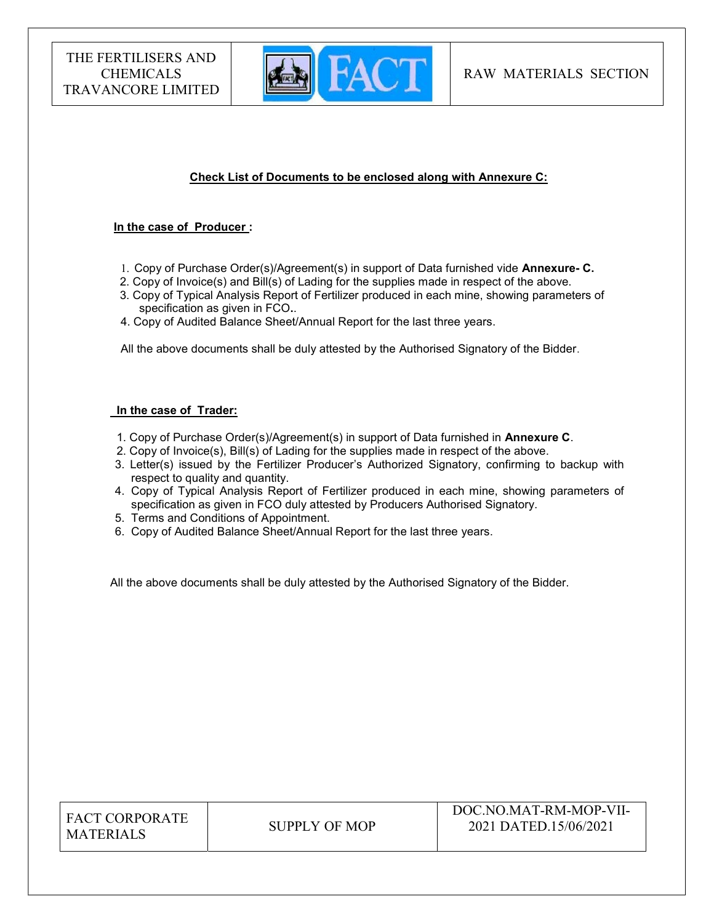

## Check List of Documents to be enclosed along with Annexure C:

#### In the case of Producer :

- 1. Copy of Purchase Order(s)/Agreement(s) in support of Data furnished vide Annexure- C.
- 2. Copy of Invoice(s) and Bill(s) of Lading for the supplies made in respect of the above.
- 3. Copy of Typical Analysis Report of Fertilizer produced in each mine, showing parameters of specification as given in FCO..
- 4. Copy of Audited Balance Sheet/Annual Report for the last three years.

All the above documents shall be duly attested by the Authorised Signatory of the Bidder.

#### In the case of Trader:

- 1. Copy of Purchase Order(s)/Agreement(s) in support of Data furnished in Annexure C.
- 2. Copy of Invoice(s), Bill(s) of Lading for the supplies made in respect of the above.
- 3. Letter(s) issued by the Fertilizer Producer's Authorized Signatory, confirming to backup with respect to quality and quantity.
- 4. Copy of Typical Analysis Report of Fertilizer produced in each mine, showing parameters of specification as given in FCO duly attested by Producers Authorised Signatory.
- 5. Terms and Conditions of Appointment.
- 6. Copy of Audited Balance Sheet/Annual Report for the last three years.

All the above documents shall be duly attested by the Authorised Signatory of the Bidder.

| <b>FACT CORPORATE</b> |
|-----------------------|
| <b>MATERIALS</b>      |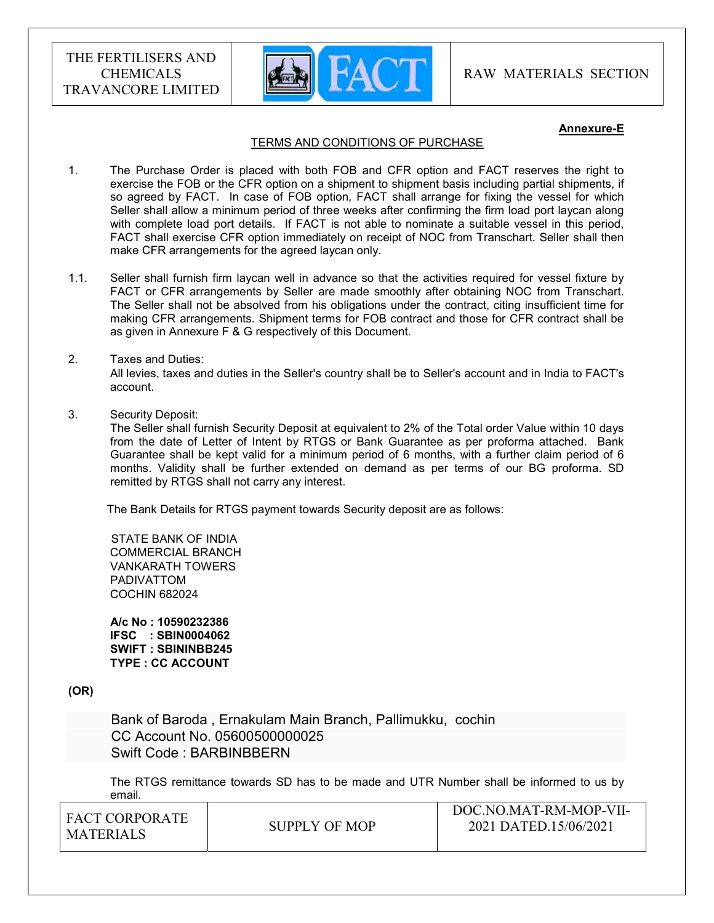

#### Annexure-E

#### TERMS AND CONDITIONS OF PURCHASE

- 1. The Purchase Order is placed with both FOB and CFR option and FACT reserves the right to exercise the FOB or the CFR option on a shipment to shipment basis including partial shipments, if so agreed by FACT. In case of FOB option, FACT shall arrange for fixing the vessel for which Seller shall allow a minimum period of three weeks after confirming the firm load port laycan along with complete load port details. If FACT is not able to nominate a suitable vessel in this period, FACT shall exercise CFR option immediately on receipt of NOC from Transchart. Seller shall then make CFR arrangements for the agreed laycan only.
- 1.1. Seller shall furnish firm laycan well in advance so that the activities required for vessel fixture by FACT or CFR arrangements by Seller are made smoothly after obtaining NOC from Transchart. The Seller shall not be absolved from his obligations under the contract, citing insufficient time for making CFR arrangements. Shipment terms for FOB contract and those for CFR contract shall be as given in Annexure F & G respectively of this Document.

#### 2. Taxes and Duties:

All levies, taxes and duties in the Seller's country shall be to Seller's account and in India to FACT's account.

3. Security Deposit:

The Seller shall furnish Security Deposit at equivalent to 2% of the Total order Value within 10 days from the date of Letter of Intent by RTGS or Bank Guarantee as per proforma attached. Bank Guarantee shall be kept valid for a minimum period of 6 months, with a further claim period of 6 months. Validity shall be further extended on demand as per terms of our BG proforma. SD remitted by RTGS shall not carry any interest.

The Bank Details for RTGS payment towards Security deposit are as follows:

 STATE BANK OF INDIA COMMERCIAL BRANCH VANKARATH TOWERS PADIVATTOM COCHIN 682024

 A/c No : 10590232386 IFSC : SBIN0004062 SWIFT : SBININBB245 TYPE : CC ACCOUNT

(OR)

 Bank of Baroda , Ernakulam Main Branch, Pallimukku, cochin CC Account No. 05600500000025 Swift Code : BARBINBBERN

The RTGS remittance towards SD has to be made and UTR Number shall be informed to us by email.

| <b>FACT CORPORATE</b> |               | DOC.NO.MAT-RM-MOP-VII- |
|-----------------------|---------------|------------------------|
| MATERIALS             | SUPPLY OF MOP | 2021 DATED.15/06/2021  |
|                       |               |                        |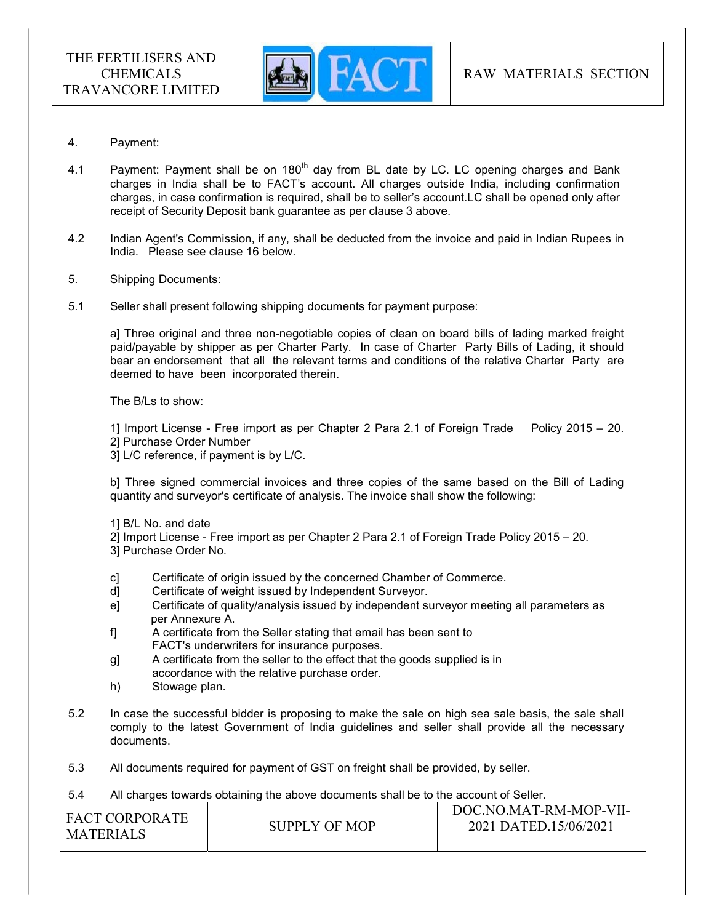

- 4. Payment:
- 4.1 Payment: Payment shall be on  $180<sup>th</sup>$  day from BL date by LC. LC opening charges and Bank charges in India shall be to FACT's account. All charges outside India, including confirmation charges, in case confirmation is required, shall be to seller's account.LC shall be opened only after receipt of Security Deposit bank guarantee as per clause 3 above.
- 4.2 Indian Agent's Commission, if any, shall be deducted from the invoice and paid in Indian Rupees in India. Please see clause 16 below.
- 5. Shipping Documents:
- 5.1 Seller shall present following shipping documents for payment purpose:

a] Three original and three non-negotiable copies of clean on board bills of lading marked freight paid/payable by shipper as per Charter Party. In case of Charter Party Bills of Lading, it should bear an endorsement that all the relevant terms and conditions of the relative Charter Party are deemed to have been incorporated therein.

The B/Ls to show:

1] Import License - Free import as per Chapter 2 Para 2.1 of Foreign Trade Policy 2015 – 20. 2] Purchase Order Number

3] L/C reference, if payment is by L/C.

b] Three signed commercial invoices and three copies of the same based on the Bill of Lading quantity and surveyor's certificate of analysis. The invoice shall show the following:

- 1] B/L No. and date
- 2] Import License Free import as per Chapter 2 Para 2.1 of Foreign Trade Policy 2015 20.
- 3] Purchase Order No.
- c] Certificate of origin issued by the concerned Chamber of Commerce.
- d] Certificate of weight issued by Independent Surveyor.
- e] Certificate of quality/analysis issued by independent surveyor meeting all parameters as per Annexure A.
- f] A certificate from the Seller stating that email has been sent to FACT's underwriters for insurance purposes.
- g] A certificate from the seller to the effect that the goods supplied is in accordance with the relative purchase order.
- h) Stowage plan.
- 5.2 In case the successful bidder is proposing to make the sale on high sea sale basis, the sale shall comply to the latest Government of India guidelines and seller shall provide all the necessary documents.
- 5.3 All documents required for payment of GST on freight shall be provided, by seller.

#### 5.4 All charges towards obtaining the above documents shall be to the account of Seller.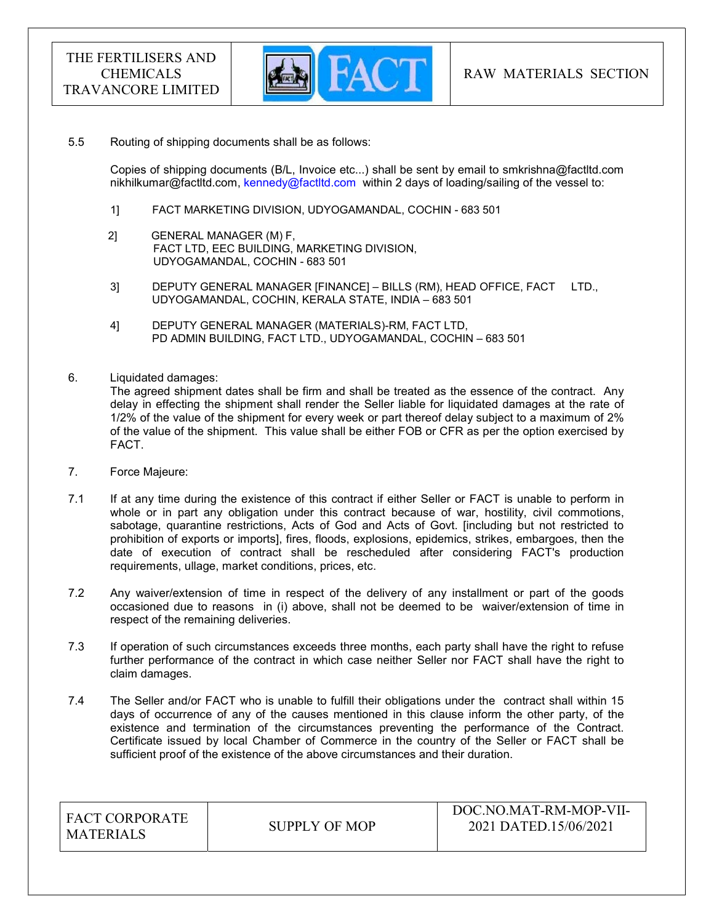

#### 5.5 Routing of shipping documents shall be as follows:

 Copies of shipping documents (B/L, Invoice etc...) shall be sent by email to smkrishna@factltd.com nikhilkumar@factltd.com, kennedy@factltd.com within 2 days of loading/sailing of the vessel to:

- 1] FACT MARKETING DIVISION, UDYOGAMANDAL, COCHIN 683 501
- 2] GENERAL MANAGER (M) F, FACT LTD, EEC BUILDING, MARKETING DIVISION, UDYOGAMANDAL, COCHIN - 683 501
- 3] DEPUTY GENERAL MANAGER [FINANCE] BILLS (RM), HEAD OFFICE, FACT LTD., UDYOGAMANDAL, COCHIN, KERALA STATE, INDIA – 683 501
- 4] DEPUTY GENERAL MANAGER (MATERIALS)-RM, FACT LTD, PD ADMIN BUILDING, FACT LTD., UDYOGAMANDAL, COCHIN – 683 501
- 6. Liquidated damages:

The agreed shipment dates shall be firm and shall be treated as the essence of the contract. Any delay in effecting the shipment shall render the Seller liable for liquidated damages at the rate of 1/2% of the value of the shipment for every week or part thereof delay subject to a maximum of 2% of the value of the shipment. This value shall be either FOB or CFR as per the option exercised by FACT.

- 7. Force Majeure:
- 7.1 If at any time during the existence of this contract if either Seller or FACT is unable to perform in whole or in part any obligation under this contract because of war, hostility, civil commotions, sabotage, quarantine restrictions, Acts of God and Acts of Govt. [including but not restricted to prohibition of exports or imports], fires, floods, explosions, epidemics, strikes, embargoes, then the date of execution of contract shall be rescheduled after considering FACT's production requirements, ullage, market conditions, prices, etc.
- 7.2 Any waiver/extension of time in respect of the delivery of any installment or part of the goods occasioned due to reasons in (i) above, shall not be deemed to be waiver/extension of time in respect of the remaining deliveries.
- 7.3 If operation of such circumstances exceeds three months, each party shall have the right to refuse further performance of the contract in which case neither Seller nor FACT shall have the right to claim damages.
- 7.4 The Seller and/or FACT who is unable to fulfill their obligations under the contract shall within 15 days of occurrence of any of the causes mentioned in this clause inform the other party, of the existence and termination of the circumstances preventing the performance of the Contract. Certificate issued by local Chamber of Commerce in the country of the Seller or FACT shall be sufficient proof of the existence of the above circumstances and their duration.

| <b>FACT CORPORATE</b><br><b>MATERIALS</b> | SUPPLY OF MOP | DOC.NO.MAT-RM-MOP-VII-<br>2021 DATED.15/06/2021 |
|-------------------------------------------|---------------|-------------------------------------------------|
|-------------------------------------------|---------------|-------------------------------------------------|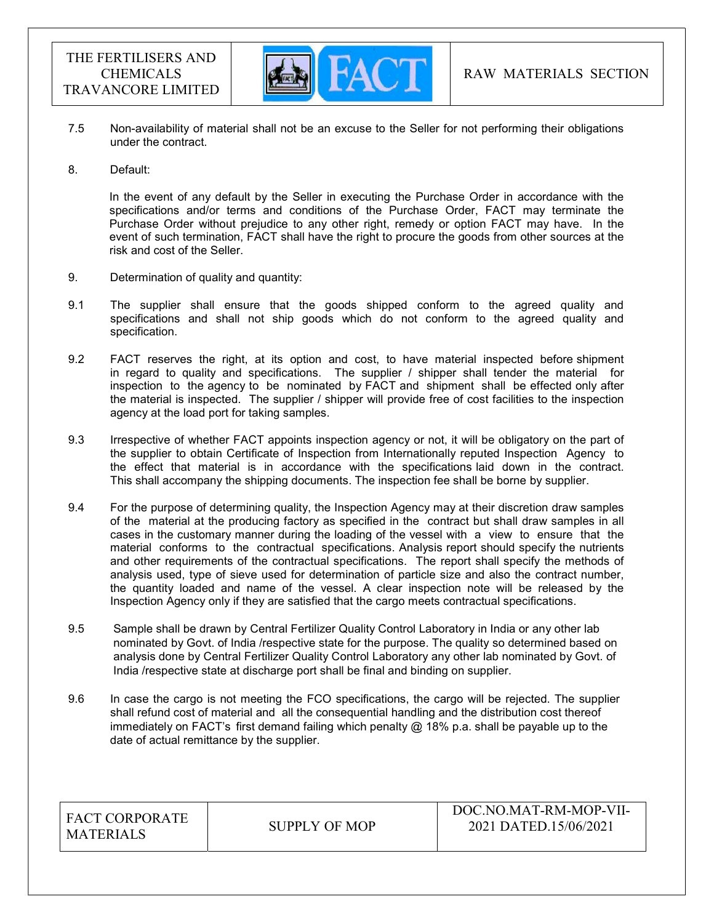

- 7.5 Non-availability of material shall not be an excuse to the Seller for not performing their obligations under the contract.
- 8. Default:

In the event of any default by the Seller in executing the Purchase Order in accordance with the specifications and/or terms and conditions of the Purchase Order, FACT may terminate the Purchase Order without prejudice to any other right, remedy or option FACT may have. In the event of such termination, FACT shall have the right to procure the goods from other sources at the risk and cost of the Seller.

- 9. Determination of quality and quantity:
- 9.1 The supplier shall ensure that the goods shipped conform to the agreed quality and specifications and shall not ship goods which do not conform to the agreed quality and specification.
- 9.2 FACT reserves the right, at its option and cost, to have material inspected before shipment in regard to quality and specifications. The supplier  $/$  shipper shall tender the material for inspection to the agency to be nominated by FACT and shipment shall be effected only after the material is inspected. The supplier / shipper will provide free of cost facilities to the inspection agency at the load port for taking samples.
- 9.3 Irrespective of whether FACT appoints inspection agency or not, it will be obligatory on the part of the supplier to obtain Certificate of Inspection from Internationally reputed Inspection Agency to the effect that material is in accordance with the specifications laid down in the contract. This shall accompany the shipping documents. The inspection fee shall be borne by supplier.
- 9.4 For the purpose of determining quality, the Inspection Agency may at their discretion draw samples of the material at the producing factory as specified in the contract but shall draw samples in all cases in the customary manner during the loading of the vessel with a view to ensure that the material conforms to the contractual specifications. Analysis report should specify the nutrients and other requirements of the contractual specifications. The report shall specify the methods of analysis used, type of sieve used for determination of particle size and also the contract number, the quantity loaded and name of the vessel. A clear inspection note will be released by the Inspection Agency only if they are satisfied that the cargo meets contractual specifications.
- 9.5 Sample shall be drawn by Central Fertilizer Quality Control Laboratory in India or any other lab nominated by Govt. of India /respective state for the purpose. The quality so determined based on analysis done by Central Fertilizer Quality Control Laboratory any other lab nominated by Govt. of India /respective state at discharge port shall be final and binding on supplier.
- 9.6 In case the cargo is not meeting the FCO specifications, the cargo will be rejected. The supplier shall refund cost of material and all the consequential handling and the distribution cost thereof immediately on FACT's first demand failing which penalty  $@$  18% p.a. shall be payable up to the date of actual remittance by the supplier.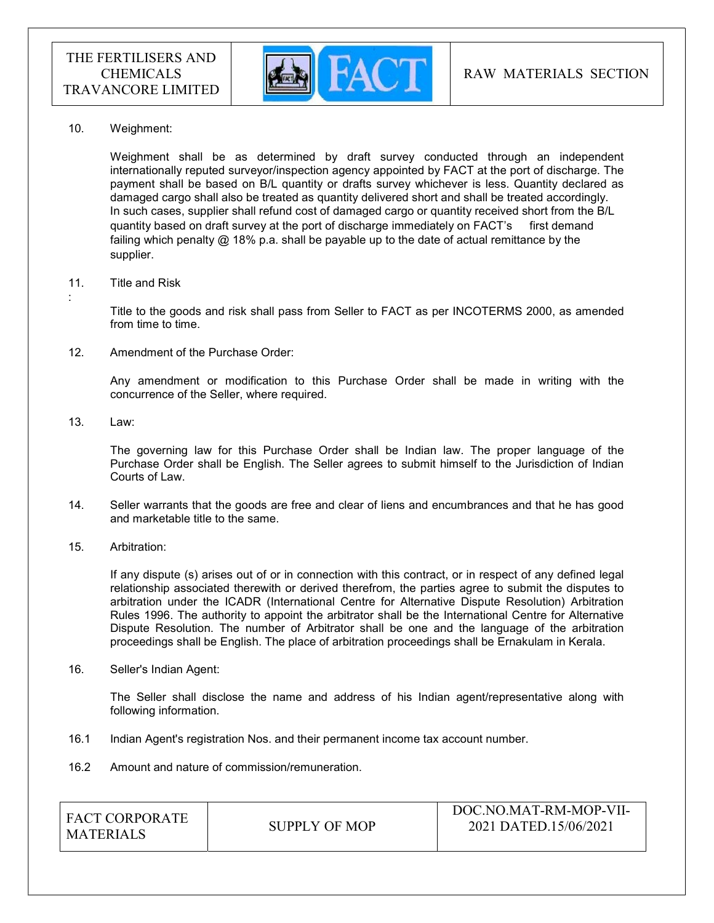

10. Weighment:

 Weighment shall be as determined by draft survey conducted through an independent internationally reputed surveyor/inspection agency appointed by FACT at the port of discharge. The payment shall be based on B/L quantity or drafts survey whichever is less. Quantity declared as damaged cargo shall also be treated as quantity delivered short and shall be treated accordingly. In such cases, supplier shall refund cost of damaged cargo or quantity received short from the B/L quantity based on draft survey at the port of discharge immediately on FACT's first demand failing which penalty @ 18% p.a. shall be payable up to the date of actual remittance by the supplier.

#### 11. Title and Risk

Title to the goods and risk shall pass from Seller to FACT as per INCOTERMS 2000, as amended from time to time.

12. Amendment of the Purchase Order:

Any amendment or modification to this Purchase Order shall be made in writing with the concurrence of the Seller, where required.

13. Law:

:

The governing law for this Purchase Order shall be Indian law. The proper language of the Purchase Order shall be English. The Seller agrees to submit himself to the Jurisdiction of Indian Courts of Law.

- 14. Seller warrants that the goods are free and clear of liens and encumbrances and that he has good and marketable title to the same.
- 15. Arbitration:

If any dispute (s) arises out of or in connection with this contract, or in respect of any defined legal relationship associated therewith or derived therefrom, the parties agree to submit the disputes to arbitration under the ICADR (International Centre for Alternative Dispute Resolution) Arbitration Rules 1996. The authority to appoint the arbitrator shall be the International Centre for Alternative Dispute Resolution. The number of Arbitrator shall be one and the language of the arbitration proceedings shall be English. The place of arbitration proceedings shall be Ernakulam in Kerala.

16. Seller's Indian Agent:

The Seller shall disclose the name and address of his Indian agent/representative along with following information.

- 16.1 Indian Agent's registration Nos. and their permanent income tax account number.
- 16.2 Amount and nature of commission/remuneration.

| I FACT CORPORATE<br>MATERIALS | SUPPLY OF MOP | DOC.NO.MAT-RM-MOP-VII-<br>2021 DATED.15/06/2021 |
|-------------------------------|---------------|-------------------------------------------------|
|                               |               |                                                 |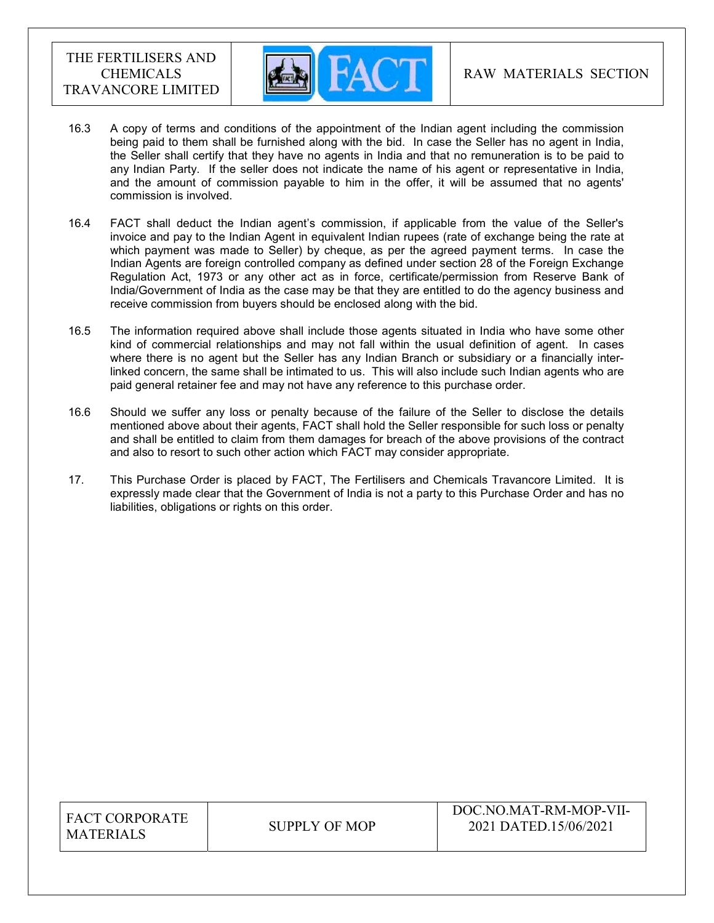

- 16.3 A copy of terms and conditions of the appointment of the Indian agent including the commission being paid to them shall be furnished along with the bid. In case the Seller has no agent in India, the Seller shall certify that they have no agents in India and that no remuneration is to be paid to any Indian Party. If the seller does not indicate the name of his agent or representative in India, and the amount of commission payable to him in the offer, it will be assumed that no agents' commission is involved.
- 16.4 FACT shall deduct the Indian agent's commission, if applicable from the value of the Seller's invoice and pay to the Indian Agent in equivalent Indian rupees (rate of exchange being the rate at which payment was made to Seller) by cheque, as per the agreed payment terms. In case the Indian Agents are foreign controlled company as defined under section 28 of the Foreign Exchange Regulation Act, 1973 or any other act as in force, certificate/permission from Reserve Bank of India/Government of India as the case may be that they are entitled to do the agency business and receive commission from buyers should be enclosed along with the bid.
- 16.5 The information required above shall include those agents situated in India who have some other kind of commercial relationships and may not fall within the usual definition of agent. In cases where there is no agent but the Seller has any Indian Branch or subsidiary or a financially interlinked concern, the same shall be intimated to us. This will also include such Indian agents who are paid general retainer fee and may not have any reference to this purchase order.
- 16.6 Should we suffer any loss or penalty because of the failure of the Seller to disclose the details mentioned above about their agents, FACT shall hold the Seller responsible for such loss or penalty and shall be entitled to claim from them damages for breach of the above provisions of the contract and also to resort to such other action which FACT may consider appropriate.
- 17. This Purchase Order is placed by FACT, The Fertilisers and Chemicals Travancore Limited. It is expressly made clear that the Government of India is not a party to this Purchase Order and has no liabilities, obligations or rights on this order.

| <b>FACT CORPORATE</b> |
|-----------------------|
| <b>MATERIALS</b>      |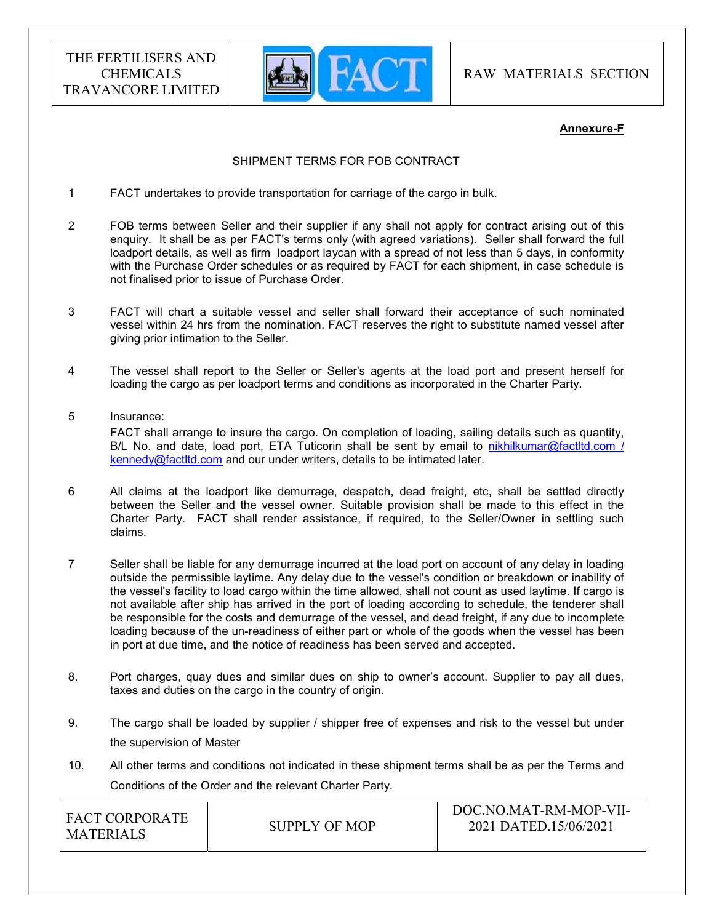

RAW MATERIALS SECTION

#### Annexure-F

## SHIPMENT TERMS FOR FOB CONTRACT

- 1 FACT undertakes to provide transportation for carriage of the cargo in bulk.
- 2 FOB terms between Seller and their supplier if any shall not apply for contract arising out of this enquiry. It shall be as per FACT's terms only (with agreed variations). Seller shall forward the full loadport details, as well as firm loadport laycan with a spread of not less than 5 days, in conformity with the Purchase Order schedules or as required by FACT for each shipment, in case schedule is not finalised prior to issue of Purchase Order.
- 3 FACT will chart a suitable vessel and seller shall forward their acceptance of such nominated vessel within 24 hrs from the nomination. FACT reserves the right to substitute named vessel after giving prior intimation to the Seller.
- 4 The vessel shall report to the Seller or Seller's agents at the load port and present herself for loading the cargo as per loadport terms and conditions as incorporated in the Charter Party.
- 5 Insurance: FACT shall arrange to insure the cargo. On completion of loading, sailing details such as quantity, B/L No. and date, load port, ETA Tuticorin shall be sent by email to nikhilkumar@factltd.com / kennedy@factltd.com and our under writers, details to be intimated later.
- 6 All claims at the loadport like demurrage, despatch, dead freight, etc, shall be settled directly between the Seller and the vessel owner. Suitable provision shall be made to this effect in the Charter Party. FACT shall render assistance, if required, to the Seller/Owner in settling such claims.
- 7 Seller shall be liable for any demurrage incurred at the load port on account of any delay in loading outside the permissible laytime. Any delay due to the vessel's condition or breakdown or inability of the vessel's facility to load cargo within the time allowed, shall not count as used laytime. If cargo is not available after ship has arrived in the port of loading according to schedule, the tenderer shall be responsible for the costs and demurrage of the vessel, and dead freight, if any due to incomplete loading because of the un-readiness of either part or whole of the goods when the vessel has been in port at due time, and the notice of readiness has been served and accepted.
- 8. Port charges, quay dues and similar dues on ship to owner's account. Supplier to pay all dues, taxes and duties on the cargo in the country of origin.
- 9. The cargo shall be loaded by supplier / shipper free of expenses and risk to the vessel but under the supervision of Master
- 10. All other terms and conditions not indicated in these shipment terms shall be as per the Terms and Conditions of the Order and the relevant Charter Party.

| <b>FACT CORPORATE</b><br>MATERIALS | SUPPLY OF MOP | DOC.NO.MAT-RM-MOP-VII-<br>2021 DATED.15/06/2021 |
|------------------------------------|---------------|-------------------------------------------------|
|                                    |               |                                                 |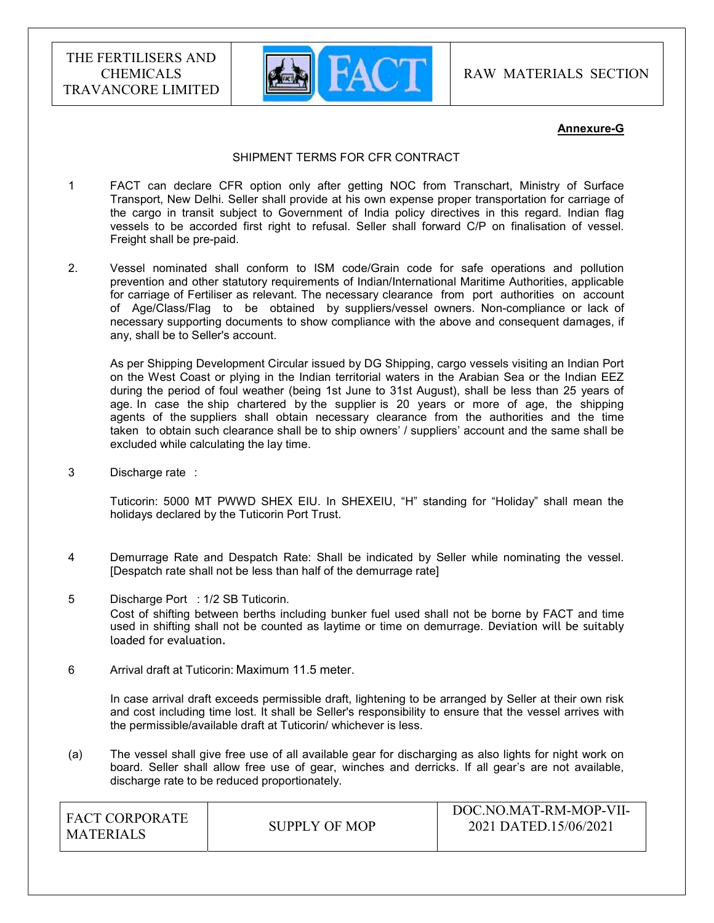

RAW MATERIALS SECTION

#### Annexure-G

#### SHIPMENT TERMS FOR CFR CONTRACT

- 1 FACT can declare CFR option only after getting NOC from Transchart, Ministry of Surface Transport, New Delhi. Seller shall provide at his own expense proper transportation for carriage of the cargo in transit subject to Government of India policy directives in this regard. Indian flag vessels to be accorded first right to refusal. Seller shall forward C/P on finalisation of vessel. Freight shall be pre-paid.
- 2. Vessel nominated shall conform to ISM code/Grain code for safe operations and pollution prevention and other statutory requirements of Indian/International Maritime Authorities, applicable for carriage of Fertiliser as relevant. The necessary clearance from port authorities on account of Age/Class/Flag to be obtained by suppliers/vessel owners. Non-compliance or lack of necessary supporting documents to show compliance with the above and consequent damages, if any, shall be to Seller's account.

 As per Shipping Development Circular issued by DG Shipping, cargo vessels visiting an Indian Port on the West Coast or plying in the Indian territorial waters in the Arabian Sea or the Indian EEZ during the period of foul weather (being 1st June to 31st August), shall be less than 25 years of age. In case the ship chartered by the supplier is 20 years or more of age, the shipping agents of the suppliers shall obtain necessary clearance from the authorities and the time taken to obtain such clearance shall be to ship owners' / suppliers' account and the same shall be excluded while calculating the lay time.

3 Discharge rate :

 Tuticorin: 5000 MT PWWD SHEX EIU. In SHEXEIU, "H" standing for "Holiday" shall mean the holidays declared by the Tuticorin Port Trust.

- 4 Demurrage Rate and Despatch Rate: Shall be indicated by Seller while nominating the vessel. [Despatch rate shall not be less than half of the demurrage rate]
- 5 Discharge Port : 1/2 SB Tuticorin. Cost of shifting between berths including bunker fuel used shall not be borne by FACT and time used in shifting shall not be counted as laytime or time on demurrage. Deviation will be suitably loaded for evaluation.
- 6 Arrival draft at Tuticorin: Maximum 11.5 meter.

 In case arrival draft exceeds permissible draft, lightening to be arranged by Seller at their own risk and cost including time lost. It shall be Seller's responsibility to ensure that the vessel arrives with the permissible/available draft at Tuticorin/ whichever is less.

(a) The vessel shall give free use of all available gear for discharging as also lights for night work on board. Seller shall allow free use of gear, winches and derricks. If all gear's are not available, discharge rate to be reduced proportionately.

| I FACT CORPORATE<br>MATERIALS | SUPPLY OF MOP | DOC.NO.MAT-RM-MOP-VII-<br>2021 DATED.15/06/2021 |
|-------------------------------|---------------|-------------------------------------------------|
|                               |               |                                                 |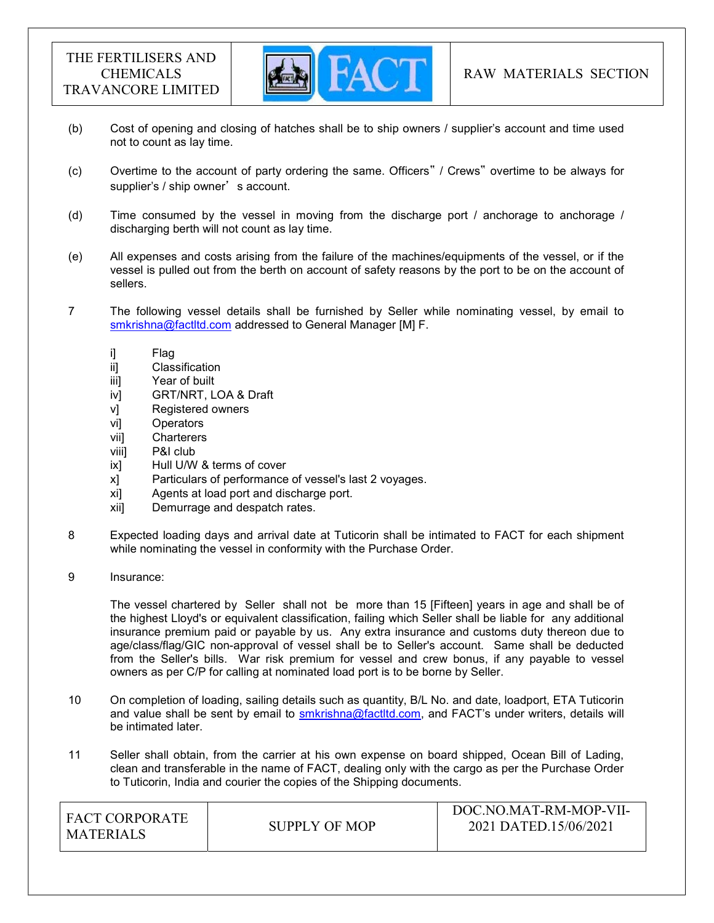

- (b) Cost of opening and closing of hatches shall be to ship owners / supplier's account and time used not to count as lay time.
- (c) Overtime to the account of party ordering the same. Officers" / Crews" overtime to be always for supplier's / ship owner's account.
- (d) Time consumed by the vessel in moving from the discharge port / anchorage to anchorage / discharging berth will not count as lay time.
- (e) All expenses and costs arising from the failure of the machines/equipments of the vessel, or if the vessel is pulled out from the berth on account of safety reasons by the port to be on the account of sellers.
- 7 The following vessel details shall be furnished by Seller while nominating vessel, by email to smkrishna@factltd.com addressed to General Manager [M] F.
	- i] Flag
	- ii] Classification
	- iii] Year of built
	- iv] GRT/NRT, LOA & Draft
	- v] Registered owners
	- vi] Operators
	- vii] Charterers
	- viii] P&I club
	- ix] Hull U/W & terms of cover
	- x] Particulars of performance of vessel's last 2 voyages.
	- xi] Agents at load port and discharge port.
	- xii] Demurrage and despatch rates.
- 8 Expected loading days and arrival date at Tuticorin shall be intimated to FACT for each shipment while nominating the vessel in conformity with the Purchase Order.
- 9 Insurance:

 The vessel chartered by Seller shall not be more than 15 [Fifteen] years in age and shall be of the highest Lloyd's or equivalent classification, failing which Seller shall be liable for any additional insurance premium paid or payable by us. Any extra insurance and customs duty thereon due to age/class/flag/GIC non-approval of vessel shall be to Seller's account. Same shall be deducted from the Seller's bills. War risk premium for vessel and crew bonus, if any payable to vessel owners as per C/P for calling at nominated load port is to be borne by Seller.

- 10 On completion of loading, sailing details such as quantity, B/L No. and date, loadport, ETA Tuticorin and value shall be sent by email to smkrishna@factltd.com, and FACT's under writers, details will be intimated later.
- 11 Seller shall obtain, from the carrier at his own expense on board shipped, Ocean Bill of Lading, clean and transferable in the name of FACT, dealing only with the cargo as per the Purchase Order to Tuticorin, India and courier the copies of the Shipping documents.

| <b>FACT CORPORATE</b><br>MATERIALS | SUPPLY OF MOP | DOC.NO.MAT-RM-MOP-VII-<br>2021 DATED.15/06/2021 |
|------------------------------------|---------------|-------------------------------------------------|
|                                    |               |                                                 |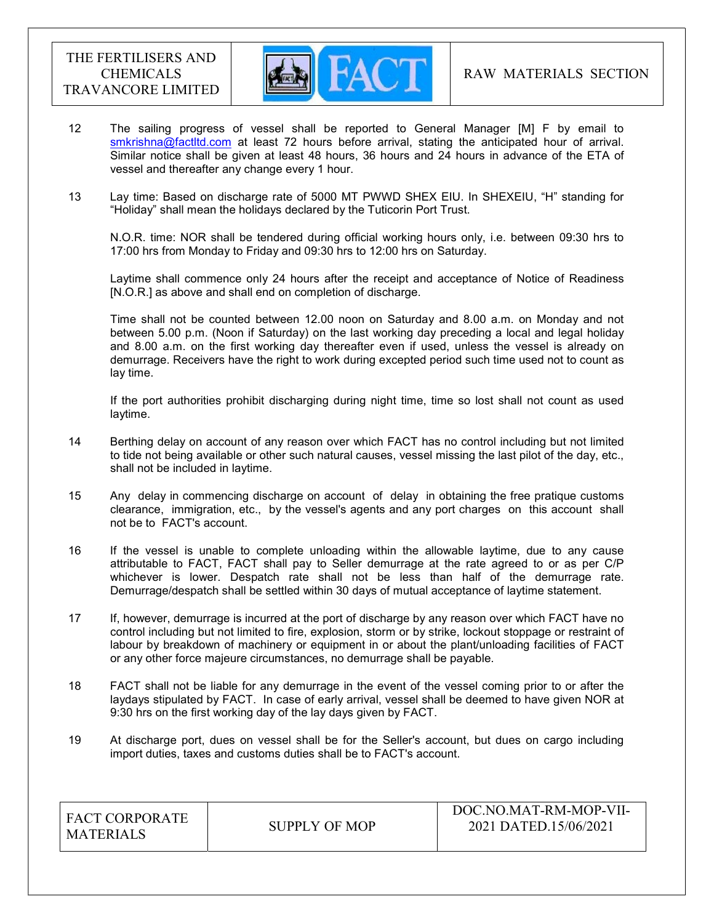

- 12 The sailing progress of vessel shall be reported to General Manager [M] F by email to smkrishna@factltd.com at least 72 hours before arrival, stating the anticipated hour of arrival. Similar notice shall be given at least 48 hours, 36 hours and 24 hours in advance of the ETA of vessel and thereafter any change every 1 hour.
- 13 Lay time: Based on discharge rate of 5000 MT PWWD SHEX EIU. In SHEXEIU, "H" standing for "Holiday" shall mean the holidays declared by the Tuticorin Port Trust.

 N.O.R. time: NOR shall be tendered during official working hours only, i.e. between 09:30 hrs to 17:00 hrs from Monday to Friday and 09:30 hrs to 12:00 hrs on Saturday.

 Laytime shall commence only 24 hours after the receipt and acceptance of Notice of Readiness [N.O.R.] as above and shall end on completion of discharge.

 Time shall not be counted between 12.00 noon on Saturday and 8.00 a.m. on Monday and not between 5.00 p.m. (Noon if Saturday) on the last working day preceding a local and legal holiday and 8.00 a.m. on the first working day thereafter even if used, unless the vessel is already on demurrage. Receivers have the right to work during excepted period such time used not to count as lay time.

 If the port authorities prohibit discharging during night time, time so lost shall not count as used laytime.

- 14 Berthing delay on account of any reason over which FACT has no control including but not limited to tide not being available or other such natural causes, vessel missing the last pilot of the day, etc., shall not be included in laytime.
- 15 Any delay in commencing discharge on account of delay in obtaining the free pratique customs clearance, immigration, etc., by the vessel's agents and any port charges on this account shall not be to FACT's account.
- 16 If the vessel is unable to complete unloading within the allowable laytime, due to any cause attributable to FACT, FACT shall pay to Seller demurrage at the rate agreed to or as per C/P whichever is lower. Despatch rate shall not be less than half of the demurrage rate. Demurrage/despatch shall be settled within 30 days of mutual acceptance of laytime statement.
- 17 If, however, demurrage is incurred at the port of discharge by any reason over which FACT have no control including but not limited to fire, explosion, storm or by strike, lockout stoppage or restraint of labour by breakdown of machinery or equipment in or about the plant/unloading facilities of FACT or any other force majeure circumstances, no demurrage shall be payable.
- 18 FACT shall not be liable for any demurrage in the event of the vessel coming prior to or after the laydays stipulated by FACT. In case of early arrival, vessel shall be deemed to have given NOR at 9:30 hrs on the first working day of the lay days given by FACT.
- 19 At discharge port, dues on vessel shall be for the Seller's account, but dues on cargo including import duties, taxes and customs duties shall be to FACT's account.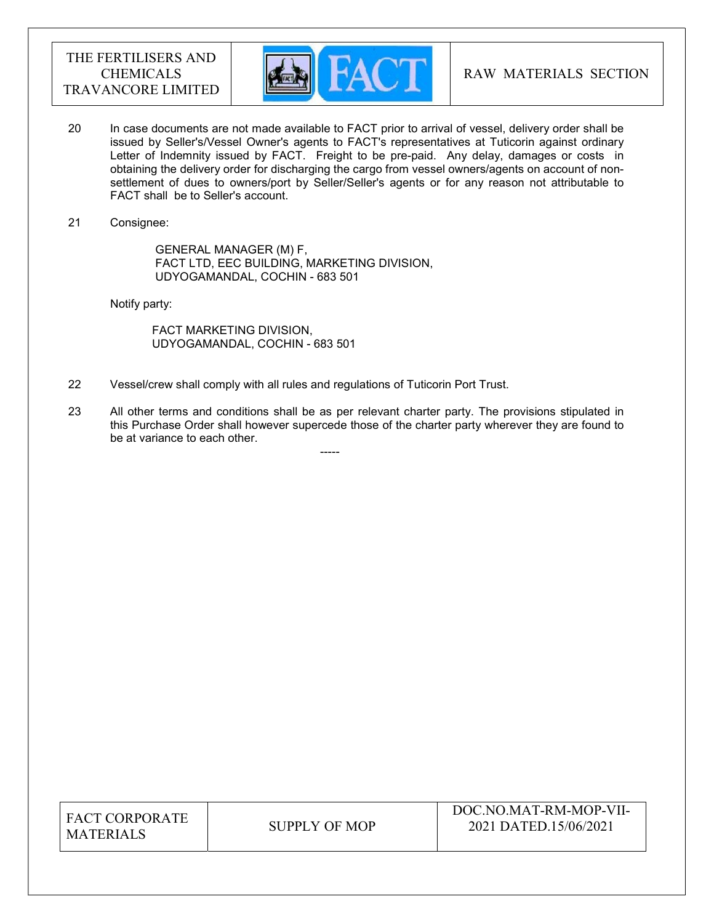

- 20 In case documents are not made available to FACT prior to arrival of vessel, delivery order shall be issued by Seller's/Vessel Owner's agents to FACT's representatives at Tuticorin against ordinary Letter of Indemnity issued by FACT. Freight to be pre-paid. Any delay, damages or costs in obtaining the delivery order for discharging the cargo from vessel owners/agents on account of nonsettlement of dues to owners/port by Seller/Seller's agents or for any reason not attributable to FACT shall be to Seller's account.
- 21 Consignee:

 GENERAL MANAGER (M) F, FACT LTD, EEC BUILDING, MARKETING DIVISION, UDYOGAMANDAL, COCHIN - 683 501

Notify party:

 FACT MARKETING DIVISION, UDYOGAMANDAL, COCHIN - 683 501

-----

- 22 Vessel/crew shall comply with all rules and regulations of Tuticorin Port Trust.
- 23 All other terms and conditions shall be as per relevant charter party. The provisions stipulated in this Purchase Order shall however supercede those of the charter party wherever they are found to be at variance to each other.

| <b>FACT CORPORATE</b> |
|-----------------------|
| <b>MATERIALS</b>      |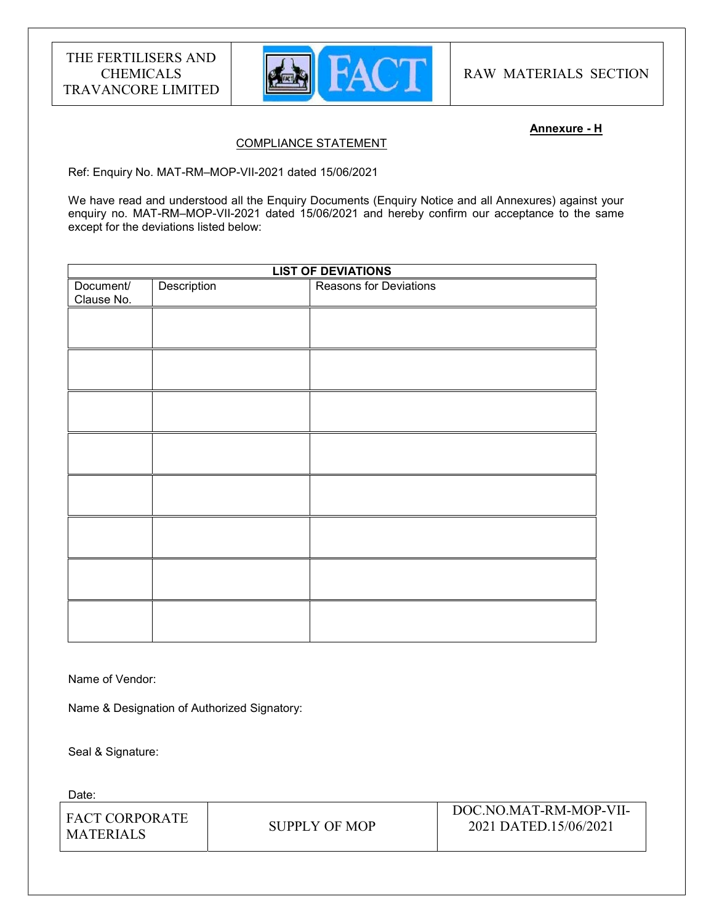

RAW MATERIALS SECTION

#### Annexure - H

## COMPLIANCE STATEMENT

Ref: Enquiry No. MAT-RM–MOP-VII-2021 dated 15/06/2021

We have read and understood all the Enquiry Documents (Enquiry Notice and all Annexures) against your enquiry no. MAT-RM–MOP-VII-2021 dated 15/06/2021 and hereby confirm our acceptance to the same except for the deviations listed below:

| <b>LIST OF DEVIATIONS</b> |             |                               |
|---------------------------|-------------|-------------------------------|
| Document/<br>Clause No.   | Description | <b>Reasons for Deviations</b> |
|                           |             |                               |
|                           |             |                               |
|                           |             |                               |
|                           |             |                               |
|                           |             |                               |
|                           |             |                               |
|                           |             |                               |
|                           |             |                               |
|                           |             |                               |

Name of Vendor:

Name & Designation of Authorized Signatory:

Seal & Signature:

Date:

| I FACT CORPORATE<br>I MATERIALS | SUPPLY OF MOP | DOC.NO.MAT-RM-MOP-VII-<br>2021 DATED.15/06/2021 |
|---------------------------------|---------------|-------------------------------------------------|
|                                 |               |                                                 |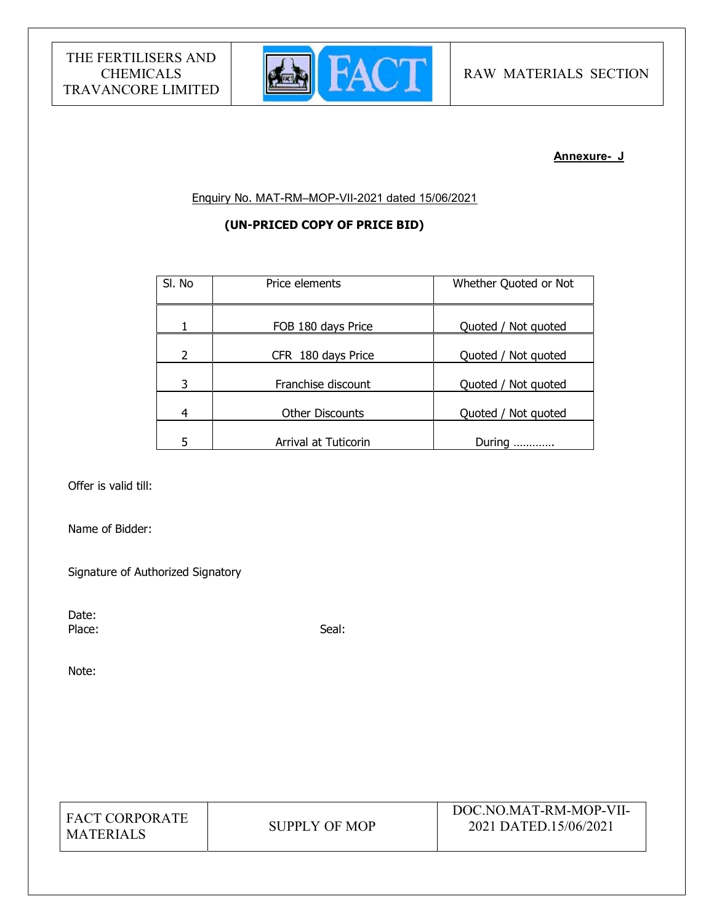

#### Annexure- J

Enquiry No. MAT-RM–MOP-VII-2021 dated 15/06/2021

## (UN-PRICED COPY OF PRICE BID)

| SI. No | Price elements         | Whether Quoted or Not |
|--------|------------------------|-----------------------|
| 1      | FOB 180 days Price     | Quoted / Not quoted   |
| 2      | CFR 180 days Price     | Quoted / Not quoted   |
| 3      | Franchise discount     | Quoted / Not quoted   |
| 4      | <b>Other Discounts</b> | Quoted / Not quoted   |
| 5      | Arrival at Tuticorin   | During<br>            |

Offer is valid till:

Name of Bidder:

Signature of Authorized Signatory

Date: Place: Seal: Seal: Seal: Seal: Seal: Seal: Seal: Seal: Seal: Seal: Seal: Seal: Seal: Seal: Seal: Seal: Seal: Seal: Seal: Seal: Seal: Seal: Seal: Seal: Seal: Seal: Seal: Seal: Seal: Seal: Seal: Seal: Seal: Seal: Seal: Seal:

Note: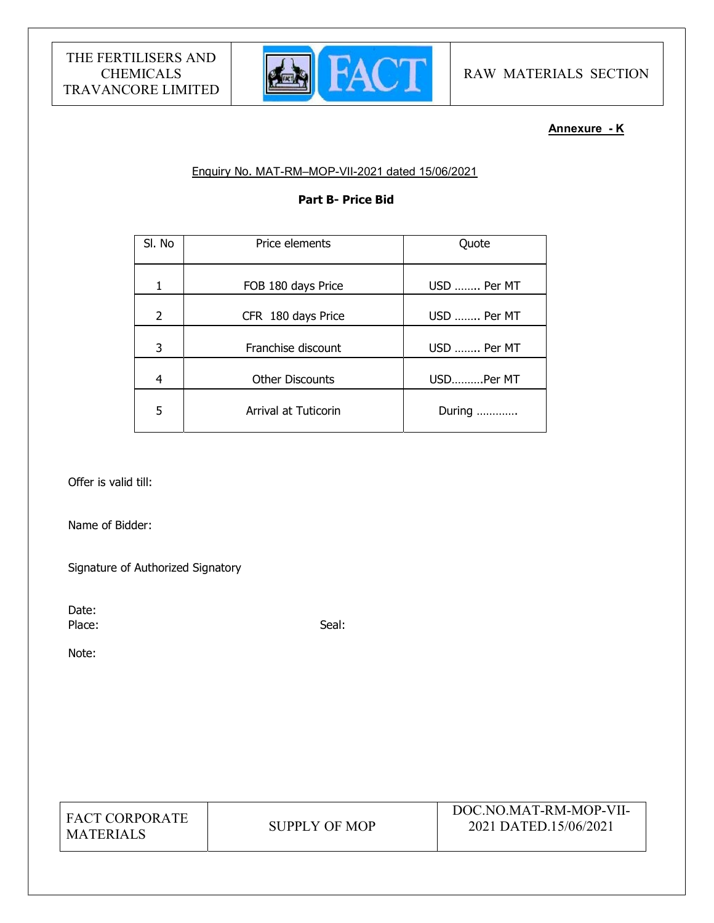

## Annexure - K

## Enquiry No. MAT-RM–MOP-VII-2021 dated 15/06/2021

## Part B- Price Bid

| SI. No         | Price elements         | Quote       |
|----------------|------------------------|-------------|
|                | FOB 180 days Price     | USD  Per MT |
| $\overline{2}$ | CFR 180 days Price     | USD  Per MT |
| 3              | Franchise discount     | USD  Per MT |
| 4              | <b>Other Discounts</b> | USDPer MT   |
| 5              | Arrival at Tuticorin   | During      |

Offer is valid till:

Name of Bidder:

Signature of Authorized Signatory

Date:

Place: Seal: Seal: Seal: Seal: Seal: Seal: Seal: Seal: Seal: Seal: Seal: Seal: Seal: Seal: Seal: Seal: Seal: Seal: Seal: Seal: Seal: Seal: Seal: Seal: Seal: Seal: Seal: Seal: Seal: Seal: Seal: Seal: Seal: Seal: Seal: Seal:

Note: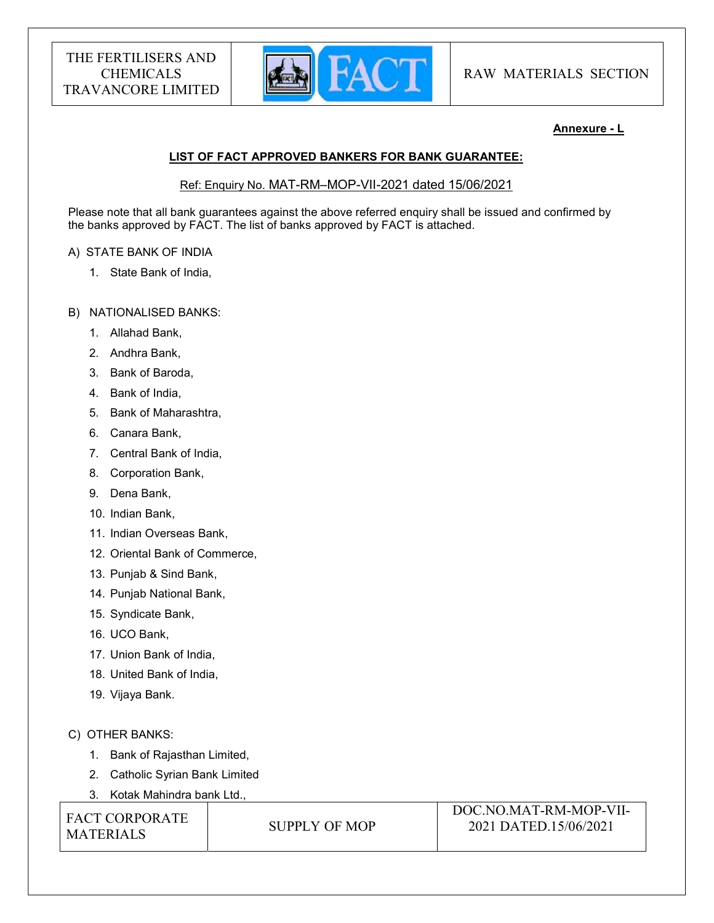

## Annexure - L

## LIST OF FACT APPROVED BANKERS FOR BANK GUARANTEE:

## Ref: Enquiry No. MAT-RM–MOP-VII-2021 dated 15/06/2021

Please note that all bank guarantees against the above referred enquiry shall be issued and confirmed by the banks approved by FACT. The list of banks approved by FACT is attached.

## A) STATE BANK OF INDIA

1. State Bank of India,

## B) NATIONALISED BANKS:

- 1. Allahad Bank,
- 2. Andhra Bank,
- 3. Bank of Baroda,
- 4. Bank of India,
- 5. Bank of Maharashtra,
- 6. Canara Bank,
- 7. Central Bank of India,
- 8. Corporation Bank,
- 9. Dena Bank,
- 10. Indian Bank,
- 11. Indian Overseas Bank,
- 12. Oriental Bank of Commerce,
- 13. Punjab & Sind Bank,
- 14. Punjab National Bank,
- 15. Syndicate Bank,
- 16. UCO Bank,
- 17. Union Bank of India,
- 18. United Bank of India,
- 19. Vijaya Bank.

## C) OTHER BANKS:

- 1. Bank of Rajasthan Limited,
- 2. Catholic Syrian Bank Limited
- 3. Kotak Mahindra bank Ltd.,

FACT CORPORATE MATERIALS SUPPLY OF MOP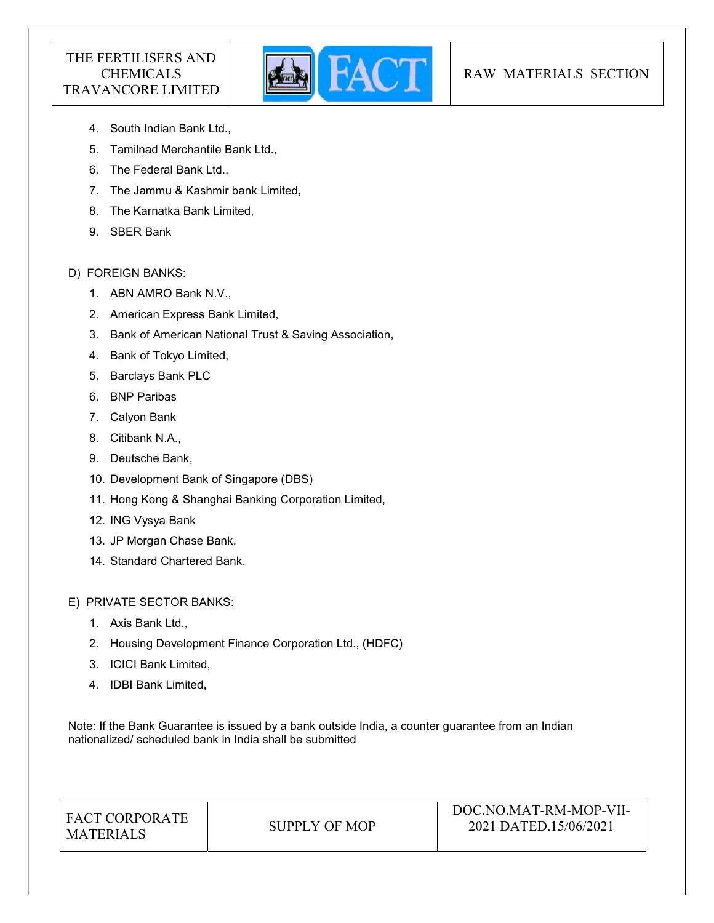

## RAW MATERIALS SECTION

- 4. South Indian Bank Ltd.,
- 5. Tamilnad Merchantile Bank Ltd.,
- 6. The Federal Bank Ltd.,
- 7. The Jammu & Kashmir bank Limited,
- 8. The Karnatka Bank Limited,
- 9. SBER Bank

## D) FOREIGN BANKS:

- 1. ABN AMRO Bank N.V.,
- 2. American Express Bank Limited,
- 3. Bank of American National Trust & Saving Association,
- 4. Bank of Tokyo Limited,
- 5. Barclays Bank PLC
- 6. BNP Paribas
- 7. Calyon Bank
- 8. Citibank N.A.,
- 9. Deutsche Bank,
- 10. Development Bank of Singapore (DBS)
- 11. Hong Kong & Shanghai Banking Corporation Limited,
- 12. ING Vysya Bank
- 13. JP Morgan Chase Bank,
- 14. Standard Chartered Bank.

## E) PRIVATE SECTOR BANKS:

- 1. Axis Bank Ltd.,
- 2. Housing Development Finance Corporation Ltd., (HDFC)
- 3. ICICI Bank Limited,
- 4. IDBI Bank Limited,

Note: If the Bank Guarantee is issued by a bank outside India, a counter guarantee from an Indian nationalized/ scheduled bank in India shall be submitted

| <b>FACT CORPORATE</b><br><b>MATERIALS</b> | SUPPLY OF MOP | DOC.NO.MAT-RM-MOP-VII-<br>2021 DATED.15/06/2021 |
|-------------------------------------------|---------------|-------------------------------------------------|
|                                           |               |                                                 |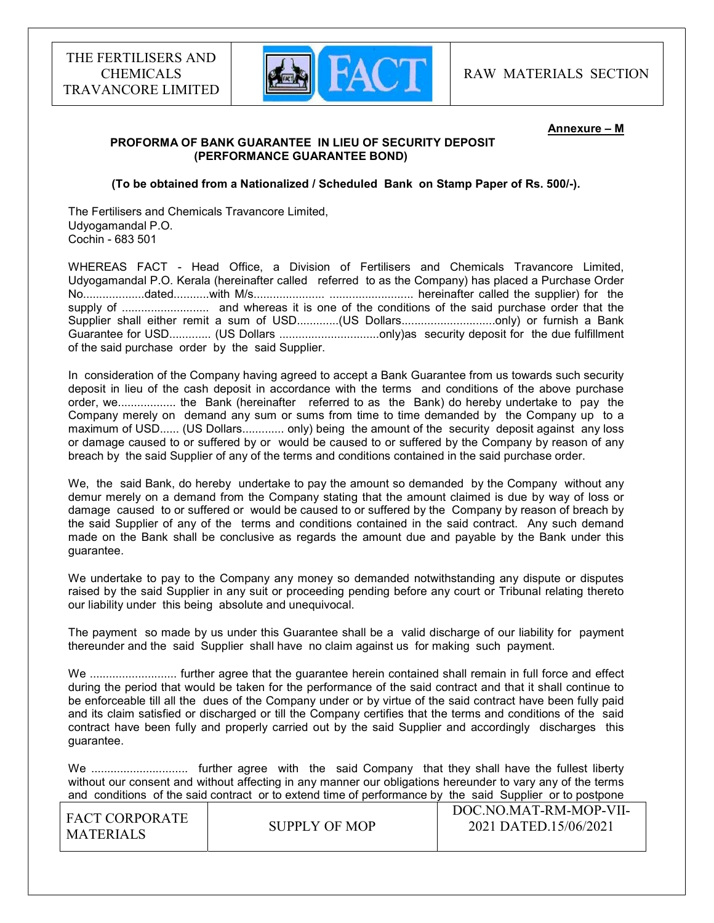

#### Annexure – M

## PROFORMA OF BANK GUARANTEE IN LIEU OF SECURITY DEPOSIT (PERFORMANCE GUARANTEE BOND)

#### (To be obtained from a Nationalized / Scheduled Bank on Stamp Paper of Rs. 500/-).

The Fertilisers and Chemicals Travancore Limited, Udyogamandal P.O. Cochin - 683 501

WHEREAS FACT - Head Office, a Division of Fertilisers and Chemicals Travancore Limited, Udyogamandal P.O. Kerala (hereinafter called referred to as the Company) has placed a Purchase Order No...................dated...........with M/s...................... .......................... hereinafter called the supplier) for the supply of ........................... and whereas it is one of the conditions of the said purchase order that the Supplier shall either remit a sum of USD..............(US Dollars..................................only) or furnish a Bank Guarantee for USD............. (US Dollars ...............................only)as security deposit for the due fulfillment of the said purchase order by the said Supplier.

In consideration of the Company having agreed to accept a Bank Guarantee from us towards such security deposit in lieu of the cash deposit in accordance with the terms and conditions of the above purchase order, we.................. the Bank (hereinafter referred to as the Bank) do hereby undertake to pay the Company merely on demand any sum or sums from time to time demanded by the Company up to a maximum of USD...... (US Dollars............. only) being the amount of the security deposit against any loss or damage caused to or suffered by or would be caused to or suffered by the Company by reason of any breach by the said Supplier of any of the terms and conditions contained in the said purchase order.

We, the said Bank, do hereby undertake to pay the amount so demanded by the Company without any demur merely on a demand from the Company stating that the amount claimed is due by way of loss or damage caused to or suffered or would be caused to or suffered by the Company by reason of breach by the said Supplier of any of the terms and conditions contained in the said contract. Any such demand made on the Bank shall be conclusive as regards the amount due and payable by the Bank under this guarantee.

We undertake to pay to the Company any money so demanded notwithstanding any dispute or disputes raised by the said Supplier in any suit or proceeding pending before any court or Tribunal relating thereto our liability under this being absolute and unequivocal.

The payment so made by us under this Guarantee shall be a valid discharge of our liability for payment thereunder and the said Supplier shall have no claim against us for making such payment.

We ............................... further agree that the quarantee herein contained shall remain in full force and effect during the period that would be taken for the performance of the said contract and that it shall continue to be enforceable till all the dues of the Company under or by virtue of the said contract have been fully paid and its claim satisfied or discharged or till the Company certifies that the terms and conditions of the said contract have been fully and properly carried out by the said Supplier and accordingly discharges this guarantee.

We .............................. further agree with the said Company that they shall have the fullest liberty without our consent and without affecting in any manner our obligations hereunder to vary any of the terms and conditions of the said contract or to extend time of performance by the said Supplier or to postpone

| I FACT CORPORATE |               | DOC.NO.MAT-RM-MOP-VII- |
|------------------|---------------|------------------------|
| <b>MATERIALS</b> | SUPPLY OF MOP | 2021 DATED.15/06/2021  |
|                  |               |                        |